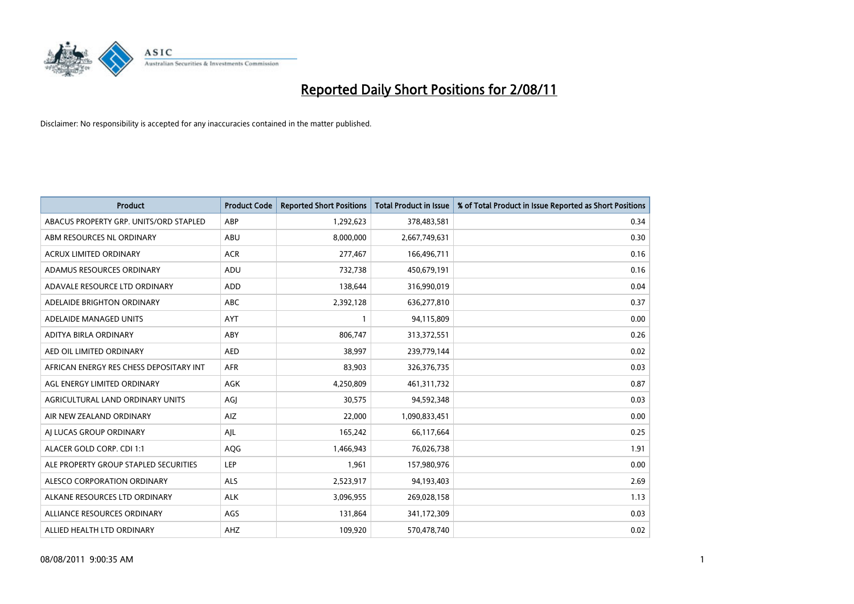

| <b>Product</b>                          | <b>Product Code</b> | <b>Reported Short Positions</b> | <b>Total Product in Issue</b> | % of Total Product in Issue Reported as Short Positions |
|-----------------------------------------|---------------------|---------------------------------|-------------------------------|---------------------------------------------------------|
| ABACUS PROPERTY GRP. UNITS/ORD STAPLED  | ABP                 | 1,292,623                       | 378,483,581                   | 0.34                                                    |
| ABM RESOURCES NL ORDINARY               | ABU                 | 8,000,000                       | 2,667,749,631                 | 0.30                                                    |
| <b>ACRUX LIMITED ORDINARY</b>           | <b>ACR</b>          | 277,467                         | 166,496,711                   | 0.16                                                    |
| ADAMUS RESOURCES ORDINARY               | ADU                 | 732,738                         | 450,679,191                   | 0.16                                                    |
| ADAVALE RESOURCE LTD ORDINARY           | <b>ADD</b>          | 138.644                         | 316,990,019                   | 0.04                                                    |
| ADELAIDE BRIGHTON ORDINARY              | <b>ABC</b>          | 2,392,128                       | 636,277,810                   | 0.37                                                    |
| ADELAIDE MANAGED UNITS                  | <b>AYT</b>          |                                 | 94,115,809                    | 0.00                                                    |
| ADITYA BIRLA ORDINARY                   | ABY                 | 806,747                         | 313,372,551                   | 0.26                                                    |
| AED OIL LIMITED ORDINARY                | <b>AED</b>          | 38,997                          | 239,779,144                   | 0.02                                                    |
| AFRICAN ENERGY RES CHESS DEPOSITARY INT | <b>AFR</b>          | 83,903                          | 326,376,735                   | 0.03                                                    |
| AGL ENERGY LIMITED ORDINARY             | <b>AGK</b>          | 4,250,809                       | 461,311,732                   | 0.87                                                    |
| AGRICULTURAL LAND ORDINARY UNITS        | AGJ                 | 30,575                          | 94,592,348                    | 0.03                                                    |
| AIR NEW ZEALAND ORDINARY                | AIZ                 | 22.000                          | 1,090,833,451                 | 0.00                                                    |
| AI LUCAS GROUP ORDINARY                 | AJL                 | 165,242                         | 66,117,664                    | 0.25                                                    |
| ALACER GOLD CORP. CDI 1:1               | AQG                 | 1,466,943                       | 76,026,738                    | 1.91                                                    |
| ALE PROPERTY GROUP STAPLED SECURITIES   | LEP                 | 1,961                           | 157,980,976                   | 0.00                                                    |
| ALESCO CORPORATION ORDINARY             | <b>ALS</b>          | 2,523,917                       | 94,193,403                    | 2.69                                                    |
| ALKANE RESOURCES LTD ORDINARY           | <b>ALK</b>          | 3,096,955                       | 269,028,158                   | 1.13                                                    |
| ALLIANCE RESOURCES ORDINARY             | AGS                 | 131,864                         | 341,172,309                   | 0.03                                                    |
| ALLIED HEALTH LTD ORDINARY              | <b>AHZ</b>          | 109,920                         | 570,478,740                   | 0.02                                                    |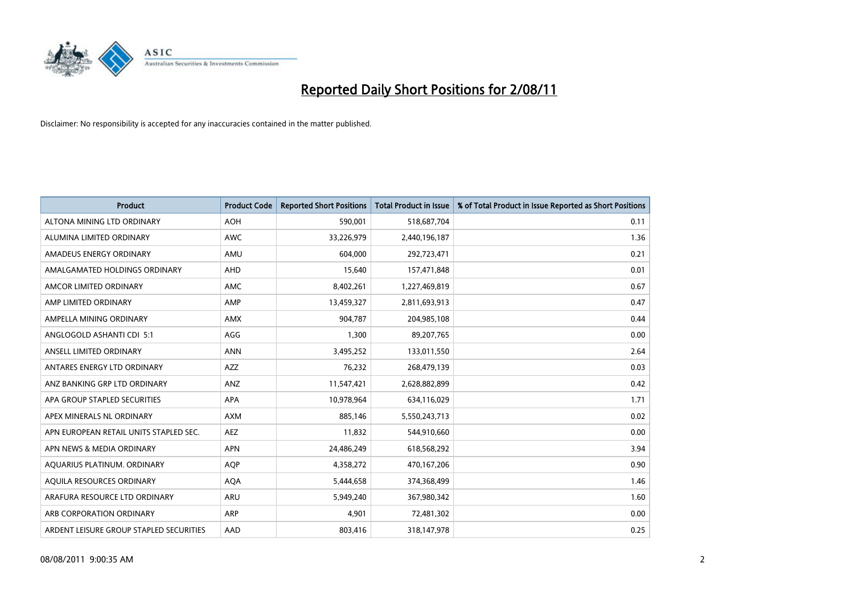

| <b>Product</b>                          | <b>Product Code</b> | <b>Reported Short Positions</b> | <b>Total Product in Issue</b> | % of Total Product in Issue Reported as Short Positions |
|-----------------------------------------|---------------------|---------------------------------|-------------------------------|---------------------------------------------------------|
| ALTONA MINING LTD ORDINARY              | <b>AOH</b>          | 590,001                         | 518,687,704                   | 0.11                                                    |
| ALUMINA LIMITED ORDINARY                | <b>AWC</b>          | 33,226,979                      | 2,440,196,187                 | 1.36                                                    |
| AMADEUS ENERGY ORDINARY                 | AMU                 | 604,000                         | 292,723,471                   | 0.21                                                    |
| AMALGAMATED HOLDINGS ORDINARY           | AHD                 | 15,640                          | 157,471,848                   | 0.01                                                    |
| AMCOR LIMITED ORDINARY                  | <b>AMC</b>          | 8,402,261                       | 1,227,469,819                 | 0.67                                                    |
| AMP LIMITED ORDINARY                    | AMP                 | 13,459,327                      | 2,811,693,913                 | 0.47                                                    |
| AMPELLA MINING ORDINARY                 | <b>AMX</b>          | 904,787                         | 204,985,108                   | 0.44                                                    |
| ANGLOGOLD ASHANTI CDI 5:1               | AGG                 | 1,300                           | 89,207,765                    | 0.00                                                    |
| ANSELL LIMITED ORDINARY                 | <b>ANN</b>          | 3,495,252                       | 133,011,550                   | 2.64                                                    |
| ANTARES ENERGY LTD ORDINARY             | <b>AZZ</b>          | 76,232                          | 268,479,139                   | 0.03                                                    |
| ANZ BANKING GRP LTD ORDINARY            | ANZ                 | 11,547,421                      | 2,628,882,899                 | 0.42                                                    |
| APA GROUP STAPLED SECURITIES            | <b>APA</b>          | 10,978,964                      | 634,116,029                   | 1.71                                                    |
| APEX MINERALS NL ORDINARY               | <b>AXM</b>          | 885,146                         | 5,550,243,713                 | 0.02                                                    |
| APN EUROPEAN RETAIL UNITS STAPLED SEC.  | <b>AEZ</b>          | 11,832                          | 544,910,660                   | 0.00                                                    |
| APN NEWS & MEDIA ORDINARY               | <b>APN</b>          | 24,486,249                      | 618,568,292                   | 3.94                                                    |
| AQUARIUS PLATINUM. ORDINARY             | <b>AOP</b>          | 4,358,272                       | 470,167,206                   | 0.90                                                    |
| AQUILA RESOURCES ORDINARY               | <b>AQA</b>          | 5,444,658                       | 374,368,499                   | 1.46                                                    |
| ARAFURA RESOURCE LTD ORDINARY           | <b>ARU</b>          | 5,949,240                       | 367,980,342                   | 1.60                                                    |
| ARB CORPORATION ORDINARY                | <b>ARP</b>          | 4,901                           | 72,481,302                    | 0.00                                                    |
| ARDENT LEISURE GROUP STAPLED SECURITIES | AAD                 | 803,416                         | 318,147,978                   | 0.25                                                    |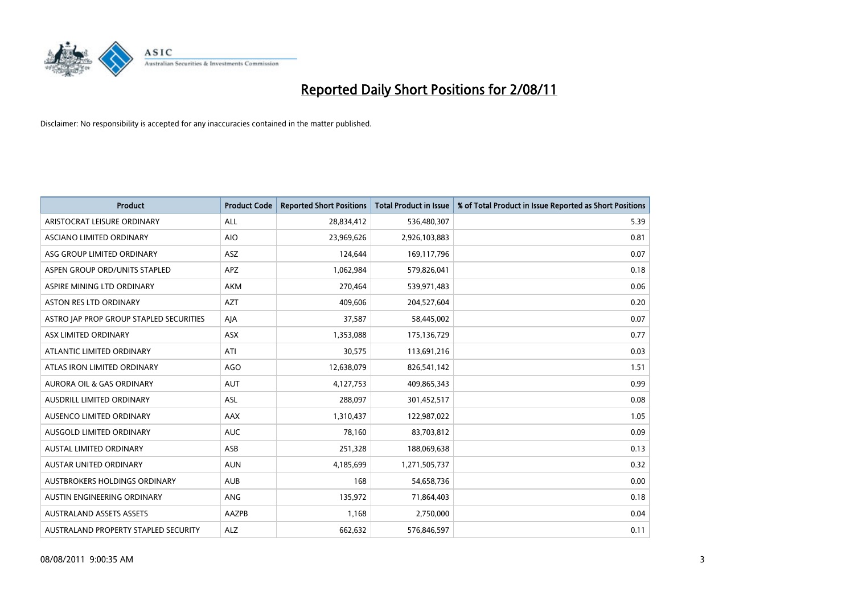

| <b>Product</b>                          | <b>Product Code</b> | <b>Reported Short Positions</b> | <b>Total Product in Issue</b> | % of Total Product in Issue Reported as Short Positions |
|-----------------------------------------|---------------------|---------------------------------|-------------------------------|---------------------------------------------------------|
| ARISTOCRAT LEISURE ORDINARY             | ALL                 | 28,834,412                      | 536,480,307                   | 5.39                                                    |
| ASCIANO LIMITED ORDINARY                | <b>AIO</b>          | 23,969,626                      | 2,926,103,883                 | 0.81                                                    |
| ASG GROUP LIMITED ORDINARY              | <b>ASZ</b>          | 124,644                         | 169,117,796                   | 0.07                                                    |
| ASPEN GROUP ORD/UNITS STAPLED           | <b>APZ</b>          | 1,062,984                       | 579,826,041                   | 0.18                                                    |
| ASPIRE MINING LTD ORDINARY              | <b>AKM</b>          | 270,464                         | 539,971,483                   | 0.06                                                    |
| <b>ASTON RES LTD ORDINARY</b>           | <b>AZT</b>          | 409,606                         | 204,527,604                   | 0.20                                                    |
| ASTRO JAP PROP GROUP STAPLED SECURITIES | AJA                 | 37,587                          | 58,445,002                    | 0.07                                                    |
| ASX LIMITED ORDINARY                    | <b>ASX</b>          | 1,353,088                       | 175,136,729                   | 0.77                                                    |
| ATLANTIC LIMITED ORDINARY               | ATI                 | 30,575                          | 113,691,216                   | 0.03                                                    |
| ATLAS IRON LIMITED ORDINARY             | <b>AGO</b>          | 12,638,079                      | 826,541,142                   | 1.51                                                    |
| <b>AURORA OIL &amp; GAS ORDINARY</b>    | <b>AUT</b>          | 4,127,753                       | 409,865,343                   | 0.99                                                    |
| AUSDRILL LIMITED ORDINARY               | <b>ASL</b>          | 288,097                         | 301,452,517                   | 0.08                                                    |
| AUSENCO LIMITED ORDINARY                | <b>AAX</b>          | 1,310,437                       | 122,987,022                   | 1.05                                                    |
| AUSGOLD LIMITED ORDINARY                | <b>AUC</b>          | 78.160                          | 83,703,812                    | 0.09                                                    |
| AUSTAL LIMITED ORDINARY                 | ASB                 | 251,328                         | 188,069,638                   | 0.13                                                    |
| AUSTAR UNITED ORDINARY                  | <b>AUN</b>          | 4,185,699                       | 1,271,505,737                 | 0.32                                                    |
| AUSTBROKERS HOLDINGS ORDINARY           | <b>AUB</b>          | 168                             | 54,658,736                    | 0.00                                                    |
| AUSTIN ENGINEERING ORDINARY             | ANG                 | 135,972                         | 71,864,403                    | 0.18                                                    |
| <b>AUSTRALAND ASSETS ASSETS</b>         | AAZPB               | 1,168                           | 2,750,000                     | 0.04                                                    |
| AUSTRALAND PROPERTY STAPLED SECURITY    | <b>ALZ</b>          | 662,632                         | 576,846,597                   | 0.11                                                    |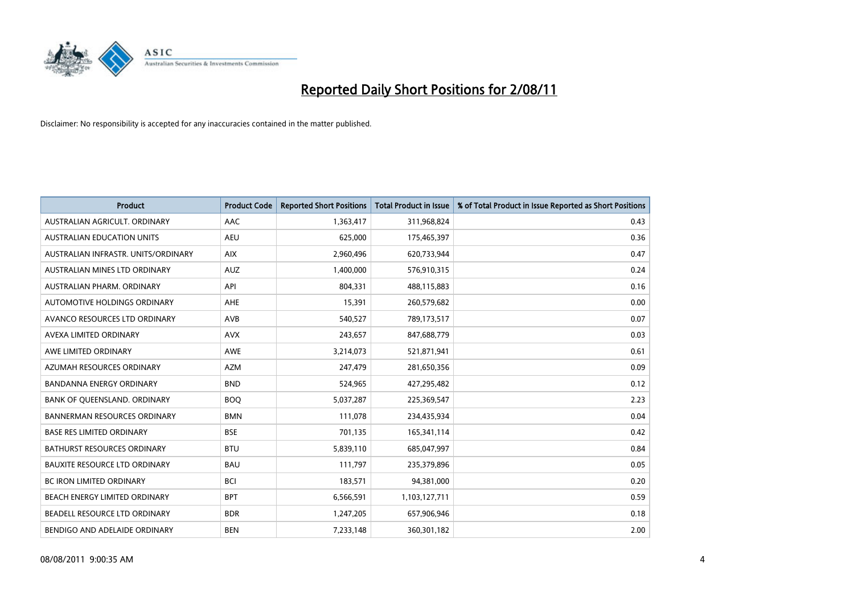

| <b>Product</b>                       | <b>Product Code</b> | <b>Reported Short Positions</b> | <b>Total Product in Issue</b> | % of Total Product in Issue Reported as Short Positions |
|--------------------------------------|---------------------|---------------------------------|-------------------------------|---------------------------------------------------------|
| AUSTRALIAN AGRICULT, ORDINARY        | AAC                 | 1,363,417                       | 311,968,824                   | 0.43                                                    |
| AUSTRALIAN EDUCATION UNITS           | <b>AEU</b>          | 625,000                         | 175,465,397                   | 0.36                                                    |
| AUSTRALIAN INFRASTR, UNITS/ORDINARY  | <b>AIX</b>          | 2,960,496                       | 620,733,944                   | 0.47                                                    |
| AUSTRALIAN MINES LTD ORDINARY        | <b>AUZ</b>          | 1,400,000                       | 576,910,315                   | 0.24                                                    |
| AUSTRALIAN PHARM, ORDINARY           | API                 | 804,331                         | 488,115,883                   | 0.16                                                    |
| AUTOMOTIVE HOLDINGS ORDINARY         | AHE                 | 15,391                          | 260,579,682                   | 0.00                                                    |
| AVANCO RESOURCES LTD ORDINARY        | <b>AVB</b>          | 540,527                         | 789,173,517                   | 0.07                                                    |
| AVEXA LIMITED ORDINARY               | <b>AVX</b>          | 243,657                         | 847,688,779                   | 0.03                                                    |
| AWE LIMITED ORDINARY                 | <b>AWE</b>          | 3,214,073                       | 521,871,941                   | 0.61                                                    |
| AZUMAH RESOURCES ORDINARY            | <b>AZM</b>          | 247,479                         | 281,650,356                   | 0.09                                                    |
| BANDANNA ENERGY ORDINARY             | <b>BND</b>          | 524,965                         | 427,295,482                   | 0.12                                                    |
| BANK OF QUEENSLAND. ORDINARY         | <b>BOQ</b>          | 5,037,287                       | 225,369,547                   | 2.23                                                    |
| <b>BANNERMAN RESOURCES ORDINARY</b>  | <b>BMN</b>          | 111,078                         | 234,435,934                   | 0.04                                                    |
| <b>BASE RES LIMITED ORDINARY</b>     | <b>BSE</b>          | 701,135                         | 165,341,114                   | 0.42                                                    |
| <b>BATHURST RESOURCES ORDINARY</b>   | <b>BTU</b>          | 5,839,110                       | 685,047,997                   | 0.84                                                    |
| <b>BAUXITE RESOURCE LTD ORDINARY</b> | <b>BAU</b>          | 111,797                         | 235,379,896                   | 0.05                                                    |
| BC IRON LIMITED ORDINARY             | <b>BCI</b>          | 183,571                         | 94,381,000                    | 0.20                                                    |
| BEACH ENERGY LIMITED ORDINARY        | <b>BPT</b>          | 6,566,591                       | 1,103,127,711                 | 0.59                                                    |
| BEADELL RESOURCE LTD ORDINARY        | <b>BDR</b>          | 1,247,205                       | 657,906,946                   | 0.18                                                    |
| BENDIGO AND ADELAIDE ORDINARY        | <b>BEN</b>          | 7,233,148                       | 360,301,182                   | 2.00                                                    |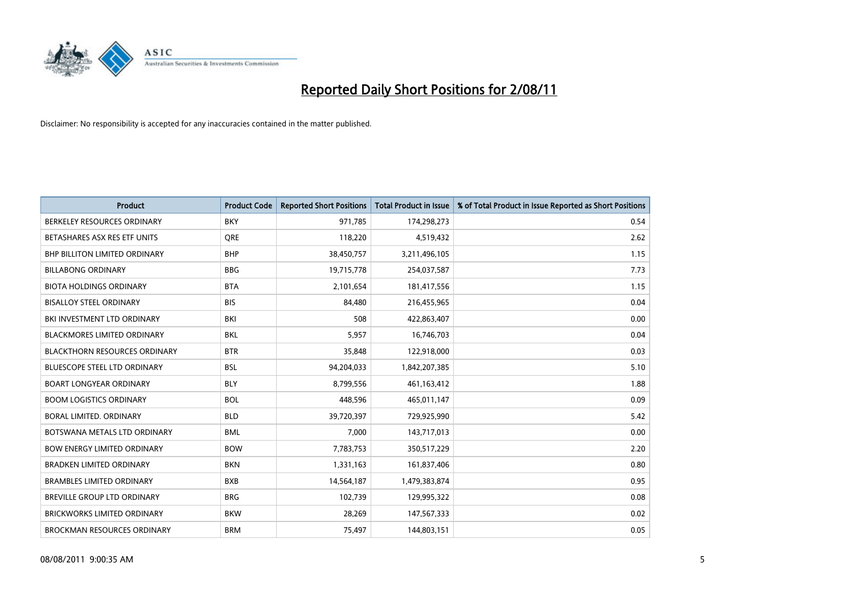

| <b>Product</b>                       | <b>Product Code</b> | <b>Reported Short Positions</b> | Total Product in Issue | % of Total Product in Issue Reported as Short Positions |
|--------------------------------------|---------------------|---------------------------------|------------------------|---------------------------------------------------------|
| BERKELEY RESOURCES ORDINARY          | <b>BKY</b>          | 971,785                         | 174,298,273            | 0.54                                                    |
| BETASHARES ASX RES ETF UNITS         | <b>ORE</b>          | 118,220                         | 4,519,432              | 2.62                                                    |
| <b>BHP BILLITON LIMITED ORDINARY</b> | <b>BHP</b>          | 38,450,757                      | 3,211,496,105          | 1.15                                                    |
| <b>BILLABONG ORDINARY</b>            | <b>BBG</b>          | 19,715,778                      | 254,037,587            | 7.73                                                    |
| <b>BIOTA HOLDINGS ORDINARY</b>       | <b>BTA</b>          | 2,101,654                       | 181,417,556            | 1.15                                                    |
| <b>BISALLOY STEEL ORDINARY</b>       | <b>BIS</b>          | 84.480                          | 216,455,965            | 0.04                                                    |
| BKI INVESTMENT LTD ORDINARY          | BKI                 | 508                             | 422,863,407            | 0.00                                                    |
| <b>BLACKMORES LIMITED ORDINARY</b>   | <b>BKL</b>          | 5,957                           | 16,746,703             | 0.04                                                    |
| <b>BLACKTHORN RESOURCES ORDINARY</b> | <b>BTR</b>          | 35,848                          | 122,918,000            | 0.03                                                    |
| BLUESCOPE STEEL LTD ORDINARY         | <b>BSL</b>          | 94,204,033                      | 1,842,207,385          | 5.10                                                    |
| <b>BOART LONGYEAR ORDINARY</b>       | <b>BLY</b>          | 8,799,556                       | 461,163,412            | 1.88                                                    |
| <b>BOOM LOGISTICS ORDINARY</b>       | <b>BOL</b>          | 448,596                         | 465,011,147            | 0.09                                                    |
| <b>BORAL LIMITED, ORDINARY</b>       | <b>BLD</b>          | 39,720,397                      | 729,925,990            | 5.42                                                    |
| BOTSWANA METALS LTD ORDINARY         | <b>BML</b>          | 7.000                           | 143,717,013            | 0.00                                                    |
| <b>BOW ENERGY LIMITED ORDINARY</b>   | <b>BOW</b>          | 7,783,753                       | 350,517,229            | 2.20                                                    |
| <b>BRADKEN LIMITED ORDINARY</b>      | <b>BKN</b>          | 1,331,163                       | 161,837,406            | 0.80                                                    |
| <b>BRAMBLES LIMITED ORDINARY</b>     | <b>BXB</b>          | 14,564,187                      | 1,479,383,874          | 0.95                                                    |
| BREVILLE GROUP LTD ORDINARY          | <b>BRG</b>          | 102,739                         | 129,995,322            | 0.08                                                    |
| <b>BRICKWORKS LIMITED ORDINARY</b>   | <b>BKW</b>          | 28,269                          | 147,567,333            | 0.02                                                    |
| <b>BROCKMAN RESOURCES ORDINARY</b>   | <b>BRM</b>          | 75,497                          | 144,803,151            | 0.05                                                    |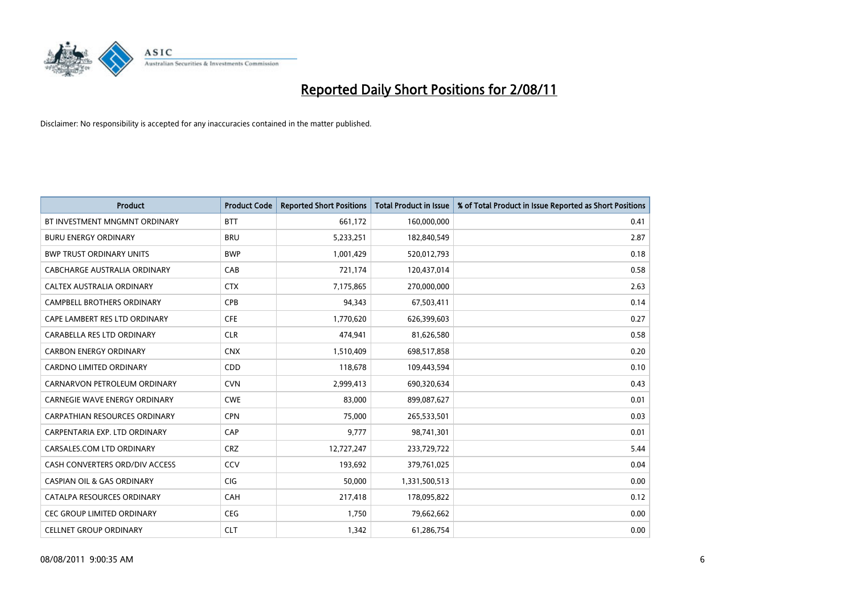

| <b>Product</b>                        | <b>Product Code</b> | <b>Reported Short Positions</b> | <b>Total Product in Issue</b> | % of Total Product in Issue Reported as Short Positions |
|---------------------------------------|---------------------|---------------------------------|-------------------------------|---------------------------------------------------------|
| BT INVESTMENT MNGMNT ORDINARY         | <b>BTT</b>          | 661,172                         | 160,000,000                   | 0.41                                                    |
| <b>BURU ENERGY ORDINARY</b>           | <b>BRU</b>          | 5,233,251                       | 182,840,549                   | 2.87                                                    |
| <b>BWP TRUST ORDINARY UNITS</b>       | <b>BWP</b>          | 1,001,429                       | 520,012,793                   | 0.18                                                    |
| CABCHARGE AUSTRALIA ORDINARY          | CAB                 | 721,174                         | 120,437,014                   | 0.58                                                    |
| CALTEX AUSTRALIA ORDINARY             | <b>CTX</b>          | 7,175,865                       | 270,000,000                   | 2.63                                                    |
| <b>CAMPBELL BROTHERS ORDINARY</b>     | <b>CPB</b>          | 94,343                          | 67,503,411                    | 0.14                                                    |
| CAPE LAMBERT RES LTD ORDINARY         | <b>CFE</b>          | 1,770,620                       | 626,399,603                   | 0.27                                                    |
| CARABELLA RES LTD ORDINARY            | <b>CLR</b>          | 474,941                         | 81,626,580                    | 0.58                                                    |
| <b>CARBON ENERGY ORDINARY</b>         | <b>CNX</b>          | 1,510,409                       | 698,517,858                   | 0.20                                                    |
| <b>CARDNO LIMITED ORDINARY</b>        | CDD                 | 118,678                         | 109,443,594                   | 0.10                                                    |
| CARNARVON PETROLEUM ORDINARY          | <b>CVN</b>          | 2,999,413                       | 690,320,634                   | 0.43                                                    |
| <b>CARNEGIE WAVE ENERGY ORDINARY</b>  | <b>CWE</b>          | 83,000                          | 899,087,627                   | 0.01                                                    |
| <b>CARPATHIAN RESOURCES ORDINARY</b>  | <b>CPN</b>          | 75,000                          | 265,533,501                   | 0.03                                                    |
| CARPENTARIA EXP. LTD ORDINARY         | CAP                 | 9,777                           | 98,741,301                    | 0.01                                                    |
| CARSALES.COM LTD ORDINARY             | <b>CRZ</b>          | 12,727,247                      | 233,729,722                   | 5.44                                                    |
| CASH CONVERTERS ORD/DIV ACCESS        | CCV                 | 193,692                         | 379,761,025                   | 0.04                                                    |
| <b>CASPIAN OIL &amp; GAS ORDINARY</b> | CIG                 | 50,000                          | 1,331,500,513                 | 0.00                                                    |
| CATALPA RESOURCES ORDINARY            | CAH                 | 217,418                         | 178,095,822                   | 0.12                                                    |
| <b>CEC GROUP LIMITED ORDINARY</b>     | <b>CEG</b>          | 1,750                           | 79,662,662                    | 0.00                                                    |
| <b>CELLNET GROUP ORDINARY</b>         | <b>CLT</b>          | 1,342                           | 61,286,754                    | 0.00                                                    |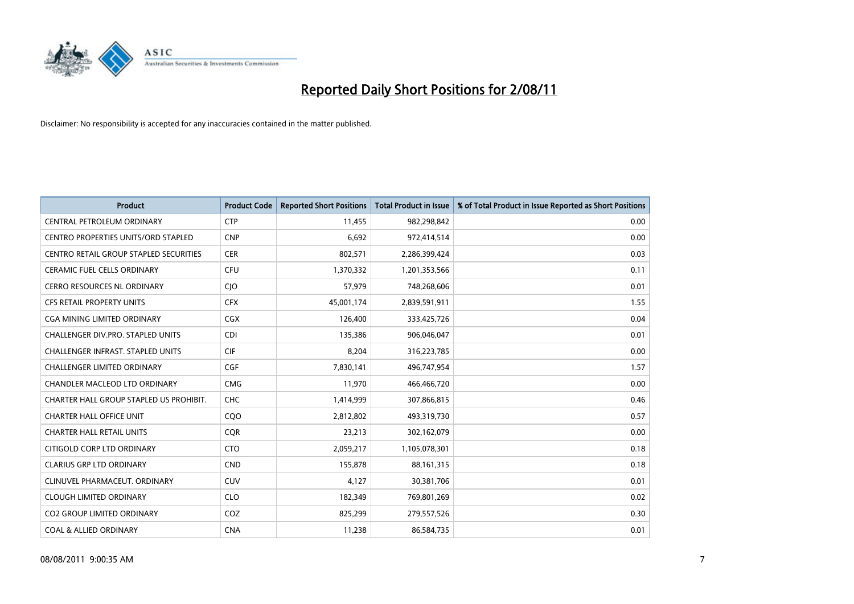

| <b>Product</b>                                | <b>Product Code</b> | <b>Reported Short Positions</b> | <b>Total Product in Issue</b> | % of Total Product in Issue Reported as Short Positions |
|-----------------------------------------------|---------------------|---------------------------------|-------------------------------|---------------------------------------------------------|
| CENTRAL PETROLEUM ORDINARY                    | <b>CTP</b>          | 11,455                          | 982,298,842                   | 0.00                                                    |
| CENTRO PROPERTIES UNITS/ORD STAPLED           | <b>CNP</b>          | 6,692                           | 972,414,514                   | 0.00                                                    |
| <b>CENTRO RETAIL GROUP STAPLED SECURITIES</b> | <b>CER</b>          | 802,571                         | 2,286,399,424                 | 0.03                                                    |
| CERAMIC FUEL CELLS ORDINARY                   | <b>CFU</b>          | 1,370,332                       | 1,201,353,566                 | 0.11                                                    |
| <b>CERRO RESOURCES NL ORDINARY</b>            | <b>CIO</b>          | 57,979                          | 748,268,606                   | 0.01                                                    |
| <b>CFS RETAIL PROPERTY UNITS</b>              | <b>CFX</b>          | 45,001,174                      | 2,839,591,911                 | 1.55                                                    |
| CGA MINING LIMITED ORDINARY                   | <b>CGX</b>          | 126,400                         | 333,425,726                   | 0.04                                                    |
| <b>CHALLENGER DIV.PRO. STAPLED UNITS</b>      | <b>CDI</b>          | 135,386                         | 906,046,047                   | 0.01                                                    |
| CHALLENGER INFRAST. STAPLED UNITS             | <b>CIF</b>          | 8,204                           | 316,223,785                   | 0.00                                                    |
| <b>CHALLENGER LIMITED ORDINARY</b>            | CGF                 | 7,830,141                       | 496,747,954                   | 1.57                                                    |
| CHANDLER MACLEOD LTD ORDINARY                 | <b>CMG</b>          | 11,970                          | 466,466,720                   | 0.00                                                    |
| CHARTER HALL GROUP STAPLED US PROHIBIT.       | <b>CHC</b>          | 1,414,999                       | 307,866,815                   | 0.46                                                    |
| <b>CHARTER HALL OFFICE UNIT</b>               | CQO                 | 2,812,802                       | 493,319,730                   | 0.57                                                    |
| <b>CHARTER HALL RETAIL UNITS</b>              | <b>COR</b>          | 23,213                          | 302,162,079                   | 0.00                                                    |
| CITIGOLD CORP LTD ORDINARY                    | <b>CTO</b>          | 2,059,217                       | 1,105,078,301                 | 0.18                                                    |
| <b>CLARIUS GRP LTD ORDINARY</b>               | <b>CND</b>          | 155,878                         | 88,161,315                    | 0.18                                                    |
| CLINUVEL PHARMACEUT, ORDINARY                 | <b>CUV</b>          | 4,127                           | 30,381,706                    | 0.01                                                    |
| <b>CLOUGH LIMITED ORDINARY</b>                | <b>CLO</b>          | 182,349                         | 769,801,269                   | 0.02                                                    |
| <b>CO2 GROUP LIMITED ORDINARY</b>             | COZ                 | 825,299                         | 279,557,526                   | 0.30                                                    |
| <b>COAL &amp; ALLIED ORDINARY</b>             | <b>CNA</b>          | 11,238                          | 86,584,735                    | 0.01                                                    |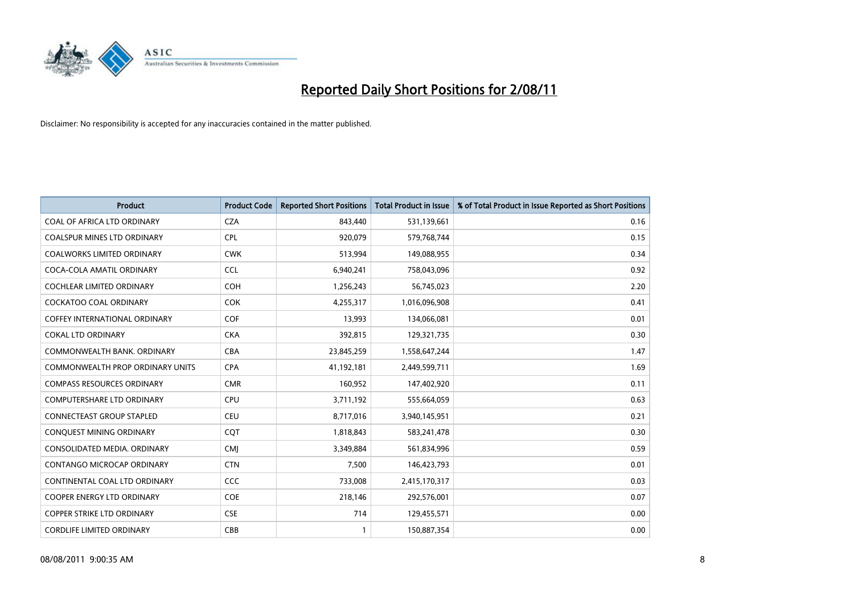

| <b>Product</b>                          | <b>Product Code</b> | <b>Reported Short Positions</b> | <b>Total Product in Issue</b> | % of Total Product in Issue Reported as Short Positions |
|-----------------------------------------|---------------------|---------------------------------|-------------------------------|---------------------------------------------------------|
| COAL OF AFRICA LTD ORDINARY             | <b>CZA</b>          | 843,440                         | 531,139,661                   | 0.16                                                    |
| <b>COALSPUR MINES LTD ORDINARY</b>      | <b>CPL</b>          | 920,079                         | 579,768,744                   | 0.15                                                    |
| <b>COALWORKS LIMITED ORDINARY</b>       | <b>CWK</b>          | 513,994                         | 149,088,955                   | 0.34                                                    |
| COCA-COLA AMATIL ORDINARY               | <b>CCL</b>          | 6,940,241                       | 758,043,096                   | 0.92                                                    |
| <b>COCHLEAR LIMITED ORDINARY</b>        | <b>COH</b>          | 1,256,243                       | 56,745,023                    | 2.20                                                    |
| <b>COCKATOO COAL ORDINARY</b>           | <b>COK</b>          | 4,255,317                       | 1,016,096,908                 | 0.41                                                    |
| <b>COFFEY INTERNATIONAL ORDINARY</b>    | <b>COF</b>          | 13,993                          | 134,066,081                   | 0.01                                                    |
| <b>COKAL LTD ORDINARY</b>               | <b>CKA</b>          | 392,815                         | 129,321,735                   | 0.30                                                    |
| COMMONWEALTH BANK, ORDINARY             | <b>CBA</b>          | 23,845,259                      | 1,558,647,244                 | 1.47                                                    |
| <b>COMMONWEALTH PROP ORDINARY UNITS</b> | <b>CPA</b>          | 41,192,181                      | 2,449,599,711                 | 1.69                                                    |
| <b>COMPASS RESOURCES ORDINARY</b>       | <b>CMR</b>          | 160,952                         | 147,402,920                   | 0.11                                                    |
| <b>COMPUTERSHARE LTD ORDINARY</b>       | <b>CPU</b>          | 3,711,192                       | 555,664,059                   | 0.63                                                    |
| <b>CONNECTEAST GROUP STAPLED</b>        | <b>CEU</b>          | 8,717,016                       | 3,940,145,951                 | 0.21                                                    |
| CONQUEST MINING ORDINARY                | <b>COT</b>          | 1,818,843                       | 583,241,478                   | 0.30                                                    |
| CONSOLIDATED MEDIA, ORDINARY            | <b>CMI</b>          | 3,349,884                       | 561,834,996                   | 0.59                                                    |
| CONTANGO MICROCAP ORDINARY              | <b>CTN</b>          | 7,500                           | 146,423,793                   | 0.01                                                    |
| CONTINENTAL COAL LTD ORDINARY           | CCC                 | 733,008                         | 2,415,170,317                 | 0.03                                                    |
| COOPER ENERGY LTD ORDINARY              | <b>COE</b>          | 218,146                         | 292,576,001                   | 0.07                                                    |
| <b>COPPER STRIKE LTD ORDINARY</b>       | <b>CSE</b>          | 714                             | 129,455,571                   | 0.00                                                    |
| <b>CORDLIFE LIMITED ORDINARY</b>        | <b>CBB</b>          |                                 | 150,887,354                   | 0.00                                                    |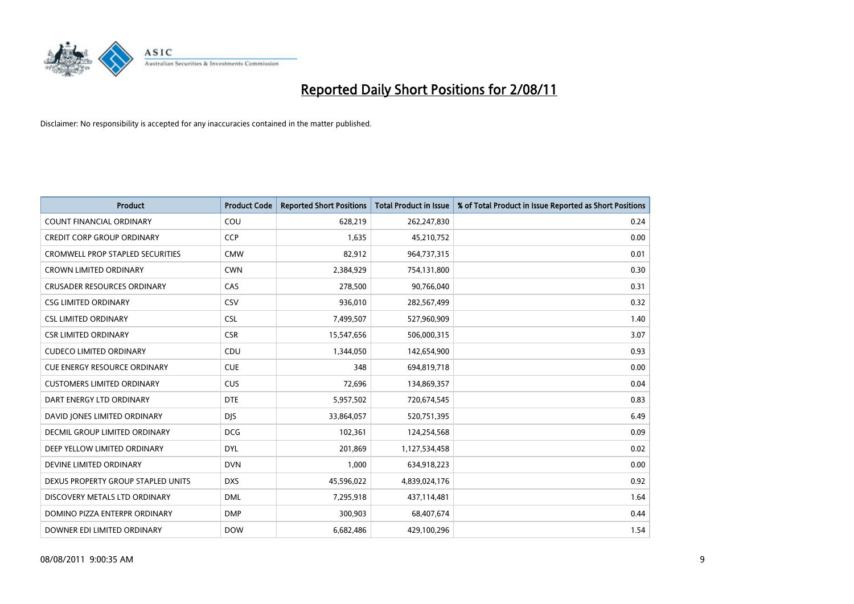

| <b>Product</b>                          | <b>Product Code</b> | <b>Reported Short Positions</b> | <b>Total Product in Issue</b> | % of Total Product in Issue Reported as Short Positions |
|-----------------------------------------|---------------------|---------------------------------|-------------------------------|---------------------------------------------------------|
| <b>COUNT FINANCIAL ORDINARY</b>         | COU                 | 628,219                         | 262,247,830                   | 0.24                                                    |
| <b>CREDIT CORP GROUP ORDINARY</b>       | <b>CCP</b>          | 1,635                           | 45,210,752                    | 0.00                                                    |
| <b>CROMWELL PROP STAPLED SECURITIES</b> | <b>CMW</b>          | 82,912                          | 964,737,315                   | 0.01                                                    |
| <b>CROWN LIMITED ORDINARY</b>           | <b>CWN</b>          | 2,384,929                       | 754,131,800                   | 0.30                                                    |
| <b>CRUSADER RESOURCES ORDINARY</b>      | CAS                 | 278,500                         | 90,766,040                    | 0.31                                                    |
| <b>CSG LIMITED ORDINARY</b>             | CSV                 | 936,010                         | 282,567,499                   | 0.32                                                    |
| <b>CSL LIMITED ORDINARY</b>             | <b>CSL</b>          | 7,499,507                       | 527,960,909                   | 1.40                                                    |
| <b>CSR LIMITED ORDINARY</b>             | <b>CSR</b>          | 15,547,656                      | 506,000,315                   | 3.07                                                    |
| <b>CUDECO LIMITED ORDINARY</b>          | CDU                 | 1,344,050                       | 142,654,900                   | 0.93                                                    |
| <b>CUE ENERGY RESOURCE ORDINARY</b>     | <b>CUE</b>          | 348                             | 694,819,718                   | 0.00                                                    |
| <b>CUSTOMERS LIMITED ORDINARY</b>       | <b>CUS</b>          | 72,696                          | 134,869,357                   | 0.04                                                    |
| DART ENERGY LTD ORDINARY                | <b>DTE</b>          | 5,957,502                       | 720,674,545                   | 0.83                                                    |
| DAVID JONES LIMITED ORDINARY            | <b>DJS</b>          | 33,864,057                      | 520,751,395                   | 6.49                                                    |
| DECMIL GROUP LIMITED ORDINARY           | <b>DCG</b>          | 102,361                         | 124,254,568                   | 0.09                                                    |
| DEEP YELLOW LIMITED ORDINARY            | <b>DYL</b>          | 201,869                         | 1,127,534,458                 | 0.02                                                    |
| DEVINE LIMITED ORDINARY                 | <b>DVN</b>          | 1,000                           | 634,918,223                   | 0.00                                                    |
| DEXUS PROPERTY GROUP STAPLED UNITS      | <b>DXS</b>          | 45,596,022                      | 4,839,024,176                 | 0.92                                                    |
| DISCOVERY METALS LTD ORDINARY           | <b>DML</b>          | 7,295,918                       | 437,114,481                   | 1.64                                                    |
| DOMINO PIZZA ENTERPR ORDINARY           | <b>DMP</b>          | 300,903                         | 68,407,674                    | 0.44                                                    |
| DOWNER EDI LIMITED ORDINARY             | <b>DOW</b>          | 6,682,486                       | 429,100,296                   | 1.54                                                    |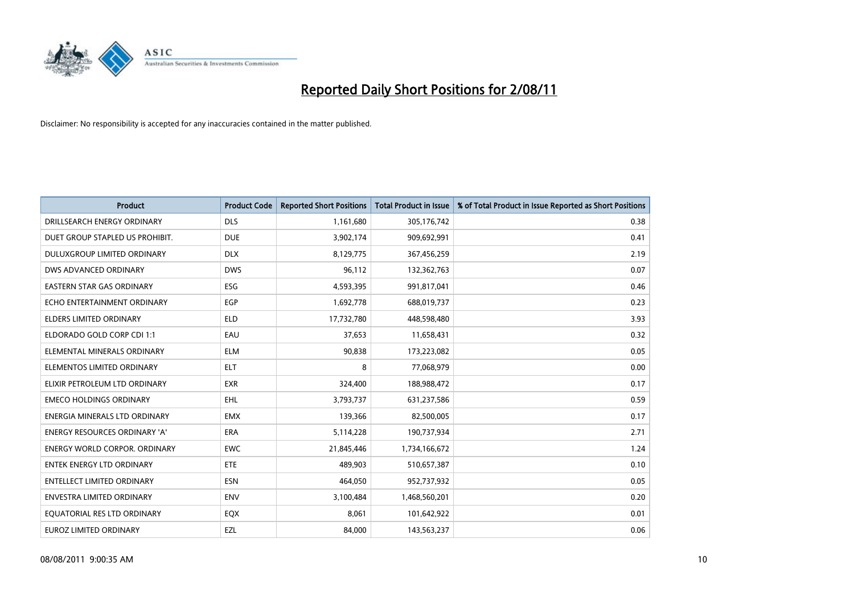

| <b>Product</b>                       | <b>Product Code</b> | <b>Reported Short Positions</b> | Total Product in Issue | % of Total Product in Issue Reported as Short Positions |
|--------------------------------------|---------------------|---------------------------------|------------------------|---------------------------------------------------------|
| DRILLSEARCH ENERGY ORDINARY          | <b>DLS</b>          | 1,161,680                       | 305,176,742            | 0.38                                                    |
| DUET GROUP STAPLED US PROHIBIT.      | <b>DUE</b>          | 3,902,174                       | 909,692,991            | 0.41                                                    |
| DULUXGROUP LIMITED ORDINARY          | <b>DLX</b>          | 8,129,775                       | 367,456,259            | 2.19                                                    |
| DWS ADVANCED ORDINARY                | <b>DWS</b>          | 96,112                          | 132,362,763            | 0.07                                                    |
| <b>EASTERN STAR GAS ORDINARY</b>     | ESG                 | 4,593,395                       | 991,817,041            | 0.46                                                    |
| ECHO ENTERTAINMENT ORDINARY          | EGP                 | 1,692,778                       | 688,019,737            | 0.23                                                    |
| ELDERS LIMITED ORDINARY              | <b>ELD</b>          | 17,732,780                      | 448,598,480            | 3.93                                                    |
| ELDORADO GOLD CORP CDI 1:1           | EAU                 | 37,653                          | 11,658,431             | 0.32                                                    |
| ELEMENTAL MINERALS ORDINARY          | <b>ELM</b>          | 90,838                          | 173,223,082            | 0.05                                                    |
| ELEMENTOS LIMITED ORDINARY           | <b>ELT</b>          | 8                               | 77,068,979             | 0.00                                                    |
| ELIXIR PETROLEUM LTD ORDINARY        | <b>EXR</b>          | 324,400                         | 188,988,472            | 0.17                                                    |
| <b>EMECO HOLDINGS ORDINARY</b>       | <b>EHL</b>          | 3,793,737                       | 631,237,586            | 0.59                                                    |
| ENERGIA MINERALS LTD ORDINARY        | <b>EMX</b>          | 139,366                         | 82,500,005             | 0.17                                                    |
| ENERGY RESOURCES ORDINARY 'A'        | ERA                 | 5,114,228                       | 190,737,934            | 2.71                                                    |
| <b>ENERGY WORLD CORPOR, ORDINARY</b> | <b>EWC</b>          | 21,845,446                      | 1,734,166,672          | 1.24                                                    |
| ENTEK ENERGY LTD ORDINARY            | ETE                 | 489,903                         | 510,657,387            | 0.10                                                    |
| ENTELLECT LIMITED ORDINARY           | <b>ESN</b>          | 464,050                         | 952,737,932            | 0.05                                                    |
| ENVESTRA LIMITED ORDINARY            | <b>ENV</b>          | 3,100,484                       | 1,468,560,201          | 0.20                                                    |
| EQUATORIAL RES LTD ORDINARY          | EQX                 | 8,061                           | 101,642,922            | 0.01                                                    |
| EUROZ LIMITED ORDINARY               | EZL                 | 84,000                          | 143,563,237            | 0.06                                                    |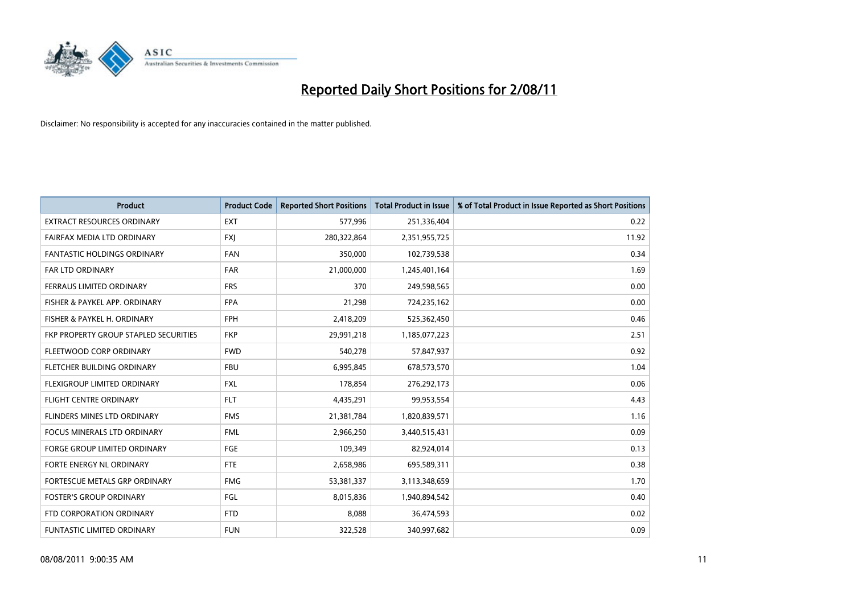

| <b>Product</b>                        | <b>Product Code</b> | <b>Reported Short Positions</b> | <b>Total Product in Issue</b> | % of Total Product in Issue Reported as Short Positions |
|---------------------------------------|---------------------|---------------------------------|-------------------------------|---------------------------------------------------------|
| <b>EXTRACT RESOURCES ORDINARY</b>     | <b>EXT</b>          | 577,996                         | 251,336,404                   | 0.22                                                    |
| FAIRFAX MEDIA LTD ORDINARY            | <b>FXI</b>          | 280,322,864                     | 2,351,955,725                 | 11.92                                                   |
| <b>FANTASTIC HOLDINGS ORDINARY</b>    | <b>FAN</b>          | 350,000                         | 102,739,538                   | 0.34                                                    |
| FAR LTD ORDINARY                      | <b>FAR</b>          | 21,000,000                      | 1,245,401,164                 | 1.69                                                    |
| FERRAUS LIMITED ORDINARY              | <b>FRS</b>          | 370                             | 249,598,565                   | 0.00                                                    |
| FISHER & PAYKEL APP. ORDINARY         | <b>FPA</b>          | 21,298                          | 724,235,162                   | 0.00                                                    |
| FISHER & PAYKEL H. ORDINARY           | <b>FPH</b>          | 2,418,209                       | 525,362,450                   | 0.46                                                    |
| FKP PROPERTY GROUP STAPLED SECURITIES | <b>FKP</b>          | 29,991,218                      | 1,185,077,223                 | 2.51                                                    |
| FLEETWOOD CORP ORDINARY               | <b>FWD</b>          | 540,278                         | 57,847,937                    | 0.92                                                    |
| FLETCHER BUILDING ORDINARY            | <b>FBU</b>          | 6,995,845                       | 678,573,570                   | 1.04                                                    |
| FLEXIGROUP LIMITED ORDINARY           | <b>FXL</b>          | 178,854                         | 276,292,173                   | 0.06                                                    |
| <b>FLIGHT CENTRE ORDINARY</b>         | <b>FLT</b>          | 4,435,291                       | 99,953,554                    | 4.43                                                    |
| FLINDERS MINES LTD ORDINARY           | <b>FMS</b>          | 21,381,784                      | 1,820,839,571                 | 1.16                                                    |
| <b>FOCUS MINERALS LTD ORDINARY</b>    | <b>FML</b>          | 2,966,250                       | 3,440,515,431                 | 0.09                                                    |
| <b>FORGE GROUP LIMITED ORDINARY</b>   | <b>FGE</b>          | 109,349                         | 82,924,014                    | 0.13                                                    |
| FORTE ENERGY NL ORDINARY              | <b>FTE</b>          | 2,658,986                       | 695,589,311                   | 0.38                                                    |
| FORTESCUE METALS GRP ORDINARY         | <b>FMG</b>          | 53,381,337                      | 3,113,348,659                 | 1.70                                                    |
| <b>FOSTER'S GROUP ORDINARY</b>        | FGL                 | 8,015,836                       | 1,940,894,542                 | 0.40                                                    |
| FTD CORPORATION ORDINARY              | <b>FTD</b>          | 8,088                           | 36,474,593                    | 0.02                                                    |
| <b>FUNTASTIC LIMITED ORDINARY</b>     | <b>FUN</b>          | 322,528                         | 340,997,682                   | 0.09                                                    |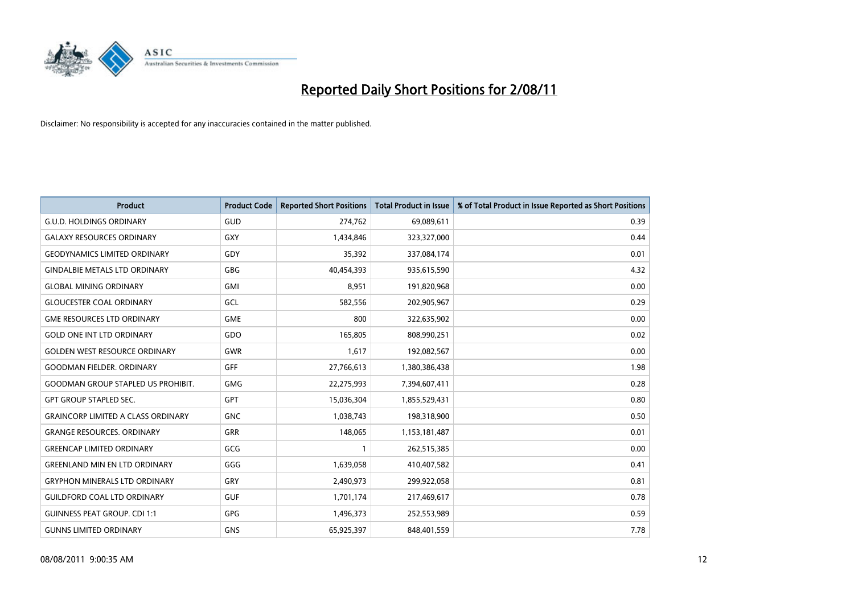

| <b>Product</b>                            | <b>Product Code</b> | <b>Reported Short Positions</b> | <b>Total Product in Issue</b> | % of Total Product in Issue Reported as Short Positions |
|-------------------------------------------|---------------------|---------------------------------|-------------------------------|---------------------------------------------------------|
| <b>G.U.D. HOLDINGS ORDINARY</b>           | GUD                 | 274,762                         | 69,089,611                    | 0.39                                                    |
| <b>GALAXY RESOURCES ORDINARY</b>          | GXY                 | 1,434,846                       | 323,327,000                   | 0.44                                                    |
| <b>GEODYNAMICS LIMITED ORDINARY</b>       | GDY                 | 35,392                          | 337,084,174                   | 0.01                                                    |
| <b>GINDALBIE METALS LTD ORDINARY</b>      | <b>GBG</b>          | 40,454,393                      | 935,615,590                   | 4.32                                                    |
| <b>GLOBAL MINING ORDINARY</b>             | <b>GMI</b>          | 8,951                           | 191,820,968                   | 0.00                                                    |
| <b>GLOUCESTER COAL ORDINARY</b>           | GCL                 | 582,556                         | 202,905,967                   | 0.29                                                    |
| <b>GME RESOURCES LTD ORDINARY</b>         | <b>GME</b>          | 800                             | 322,635,902                   | 0.00                                                    |
| <b>GOLD ONE INT LTD ORDINARY</b>          | GDO                 | 165,805                         | 808,990,251                   | 0.02                                                    |
| <b>GOLDEN WEST RESOURCE ORDINARY</b>      | <b>GWR</b>          | 1,617                           | 192,082,567                   | 0.00                                                    |
| <b>GOODMAN FIELDER, ORDINARY</b>          | <b>GFF</b>          | 27,766,613                      | 1,380,386,438                 | 1.98                                                    |
| <b>GOODMAN GROUP STAPLED US PROHIBIT.</b> | <b>GMG</b>          | 22,275,993                      | 7,394,607,411                 | 0.28                                                    |
| <b>GPT GROUP STAPLED SEC.</b>             | <b>GPT</b>          | 15,036,304                      | 1,855,529,431                 | 0.80                                                    |
| <b>GRAINCORP LIMITED A CLASS ORDINARY</b> | <b>GNC</b>          | 1,038,743                       | 198,318,900                   | 0.50                                                    |
| <b>GRANGE RESOURCES, ORDINARY</b>         | <b>GRR</b>          | 148,065                         | 1,153,181,487                 | 0.01                                                    |
| <b>GREENCAP LIMITED ORDINARY</b>          | GCG                 |                                 | 262,515,385                   | 0.00                                                    |
| <b>GREENLAND MIN EN LTD ORDINARY</b>      | GGG                 | 1,639,058                       | 410,407,582                   | 0.41                                                    |
| <b>GRYPHON MINERALS LTD ORDINARY</b>      | GRY                 | 2,490,973                       | 299,922,058                   | 0.81                                                    |
| <b>GUILDFORD COAL LTD ORDINARY</b>        | <b>GUF</b>          | 1,701,174                       | 217,469,617                   | 0.78                                                    |
| <b>GUINNESS PEAT GROUP. CDI 1:1</b>       | <b>GPG</b>          | 1,496,373                       | 252,553,989                   | 0.59                                                    |
| <b>GUNNS LIMITED ORDINARY</b>             | <b>GNS</b>          | 65,925,397                      | 848,401,559                   | 7.78                                                    |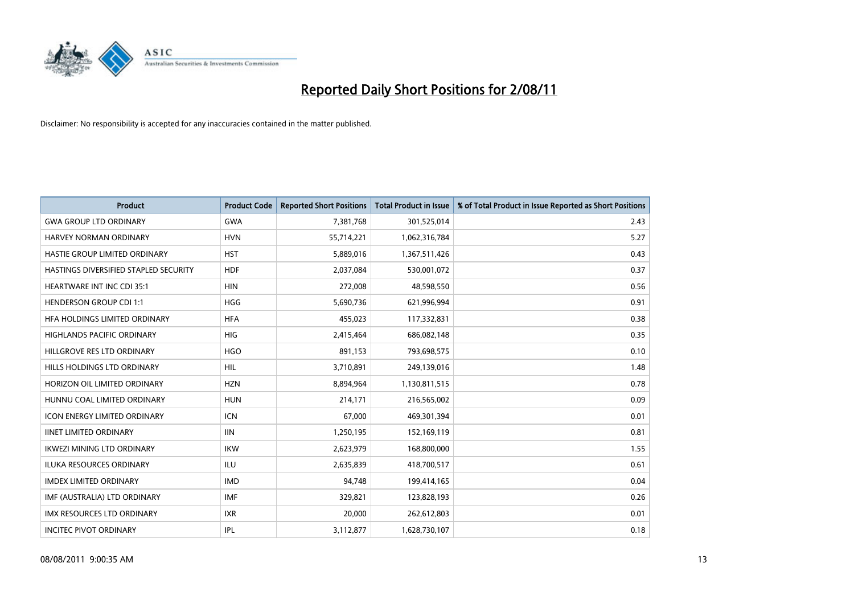

| <b>Product</b>                        | <b>Product Code</b> | <b>Reported Short Positions</b> | <b>Total Product in Issue</b> | % of Total Product in Issue Reported as Short Positions |
|---------------------------------------|---------------------|---------------------------------|-------------------------------|---------------------------------------------------------|
| <b>GWA GROUP LTD ORDINARY</b>         | <b>GWA</b>          | 7,381,768                       | 301,525,014                   | 2.43                                                    |
| <b>HARVEY NORMAN ORDINARY</b>         | <b>HVN</b>          | 55,714,221                      | 1,062,316,784                 | 5.27                                                    |
| HASTIE GROUP LIMITED ORDINARY         | <b>HST</b>          | 5,889,016                       | 1,367,511,426                 | 0.43                                                    |
| HASTINGS DIVERSIFIED STAPLED SECURITY | <b>HDF</b>          | 2,037,084                       | 530,001,072                   | 0.37                                                    |
| <b>HEARTWARE INT INC CDI 35:1</b>     | <b>HIN</b>          | 272,008                         | 48,598,550                    | 0.56                                                    |
| <b>HENDERSON GROUP CDI 1:1</b>        | <b>HGG</b>          | 5,690,736                       | 621,996,994                   | 0.91                                                    |
| HFA HOLDINGS LIMITED ORDINARY         | <b>HFA</b>          | 455,023                         | 117,332,831                   | 0.38                                                    |
| <b>HIGHLANDS PACIFIC ORDINARY</b>     | <b>HIG</b>          | 2,415,464                       | 686,082,148                   | 0.35                                                    |
| HILLGROVE RES LTD ORDINARY            | <b>HGO</b>          | 891,153                         | 793,698,575                   | 0.10                                                    |
| HILLS HOLDINGS LTD ORDINARY           | <b>HIL</b>          | 3,710,891                       | 249,139,016                   | 1.48                                                    |
| HORIZON OIL LIMITED ORDINARY          | <b>HZN</b>          | 8,894,964                       | 1,130,811,515                 | 0.78                                                    |
| HUNNU COAL LIMITED ORDINARY           | <b>HUN</b>          | 214,171                         | 216,565,002                   | 0.09                                                    |
| <b>ICON ENERGY LIMITED ORDINARY</b>   | <b>ICN</b>          | 67.000                          | 469,301,394                   | 0.01                                                    |
| <b>IINET LIMITED ORDINARY</b>         | <b>IIN</b>          | 1,250,195                       | 152,169,119                   | 0.81                                                    |
| <b>IKWEZI MINING LTD ORDINARY</b>     | <b>IKW</b>          | 2,623,979                       | 168,800,000                   | 1.55                                                    |
| <b>ILUKA RESOURCES ORDINARY</b>       | <b>ILU</b>          | 2,635,839                       | 418,700,517                   | 0.61                                                    |
| <b>IMDEX LIMITED ORDINARY</b>         | <b>IMD</b>          | 94,748                          | 199,414,165                   | 0.04                                                    |
| IMF (AUSTRALIA) LTD ORDINARY          | <b>IMF</b>          | 329,821                         | 123,828,193                   | 0.26                                                    |
| <b>IMX RESOURCES LTD ORDINARY</b>     | <b>IXR</b>          | 20,000                          | 262,612,803                   | 0.01                                                    |
| <b>INCITEC PIVOT ORDINARY</b>         | <b>IPL</b>          | 3,112,877                       | 1,628,730,107                 | 0.18                                                    |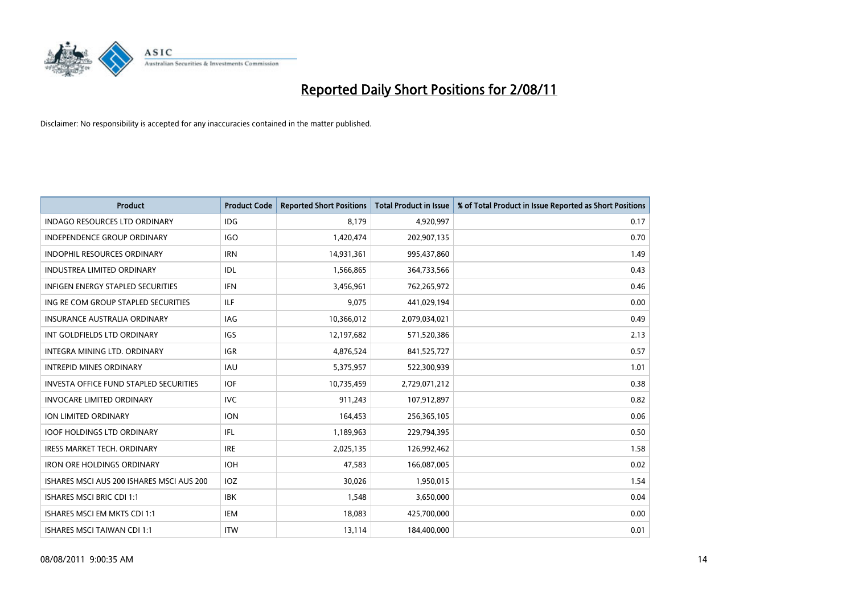

| <b>Product</b>                                | <b>Product Code</b> | <b>Reported Short Positions</b> | <b>Total Product in Issue</b> | % of Total Product in Issue Reported as Short Positions |
|-----------------------------------------------|---------------------|---------------------------------|-------------------------------|---------------------------------------------------------|
| <b>INDAGO RESOURCES LTD ORDINARY</b>          | <b>IDG</b>          | 8,179                           | 4,920,997                     | 0.17                                                    |
| INDEPENDENCE GROUP ORDINARY                   | IGO                 | 1,420,474                       | 202,907,135                   | 0.70                                                    |
| <b>INDOPHIL RESOURCES ORDINARY</b>            | <b>IRN</b>          | 14,931,361                      | 995,437,860                   | 1.49                                                    |
| <b>INDUSTREA LIMITED ORDINARY</b>             | IDL                 | 1,566,865                       | 364,733,566                   | 0.43                                                    |
| <b>INFIGEN ENERGY STAPLED SECURITIES</b>      | <b>IFN</b>          | 3,456,961                       | 762,265,972                   | 0.46                                                    |
| ING RE COM GROUP STAPLED SECURITIES           | <b>ILF</b>          | 9,075                           | 441,029,194                   | 0.00                                                    |
| INSURANCE AUSTRALIA ORDINARY                  | <b>IAG</b>          | 10,366,012                      | 2,079,034,021                 | 0.49                                                    |
| INT GOLDFIELDS LTD ORDINARY                   | <b>IGS</b>          | 12,197,682                      | 571,520,386                   | 2.13                                                    |
| INTEGRA MINING LTD, ORDINARY                  | <b>IGR</b>          | 4,876,524                       | 841,525,727                   | 0.57                                                    |
| <b>INTREPID MINES ORDINARY</b>                | <b>IAU</b>          | 5,375,957                       | 522,300,939                   | 1.01                                                    |
| <b>INVESTA OFFICE FUND STAPLED SECURITIES</b> | <b>IOF</b>          | 10,735,459                      | 2,729,071,212                 | 0.38                                                    |
| <b>INVOCARE LIMITED ORDINARY</b>              | <b>IVC</b>          | 911,243                         | 107,912,897                   | 0.82                                                    |
| <b>ION LIMITED ORDINARY</b>                   | <b>ION</b>          | 164,453                         | 256,365,105                   | 0.06                                                    |
| <b>IOOF HOLDINGS LTD ORDINARY</b>             | <b>IFL</b>          | 1,189,963                       | 229,794,395                   | 0.50                                                    |
| <b>IRESS MARKET TECH. ORDINARY</b>            | <b>IRE</b>          | 2,025,135                       | 126,992,462                   | 1.58                                                    |
| <b>IRON ORE HOLDINGS ORDINARY</b>             | <b>IOH</b>          | 47,583                          | 166,087,005                   | 0.02                                                    |
| ISHARES MSCI AUS 200 ISHARES MSCI AUS 200     | IOZ                 | 30,026                          | 1,950,015                     | 1.54                                                    |
| <b>ISHARES MSCI BRIC CDI 1:1</b>              | <b>IBK</b>          | 1,548                           | 3,650,000                     | 0.04                                                    |
| ISHARES MSCI EM MKTS CDI 1:1                  | <b>IEM</b>          | 18,083                          | 425,700,000                   | 0.00                                                    |
| ISHARES MSCI TAIWAN CDI 1:1                   | <b>ITW</b>          | 13,114                          | 184,400,000                   | 0.01                                                    |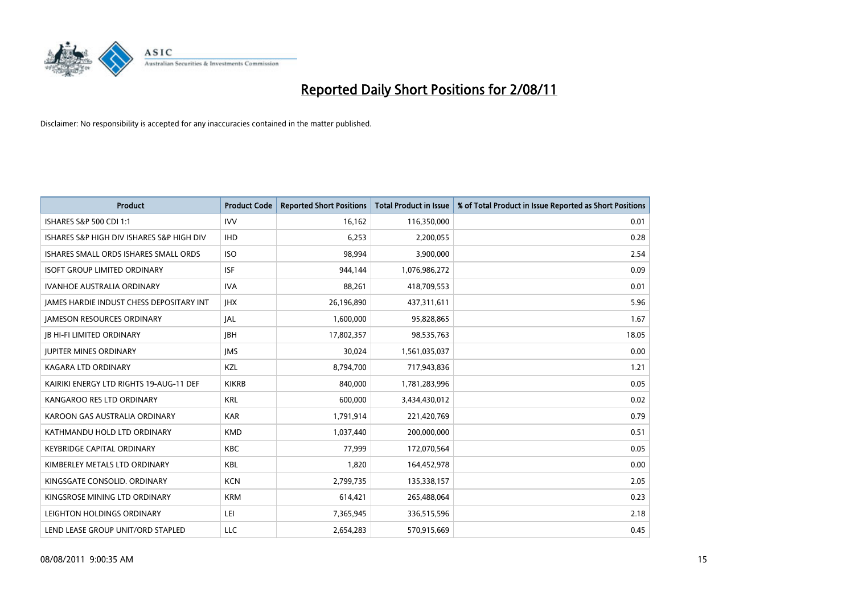

| <b>Product</b>                                  | <b>Product Code</b> | <b>Reported Short Positions</b> | Total Product in Issue | % of Total Product in Issue Reported as Short Positions |
|-------------------------------------------------|---------------------|---------------------------------|------------------------|---------------------------------------------------------|
| <b>ISHARES S&amp;P 500 CDI 1:1</b>              | <b>IVV</b>          | 16,162                          | 116,350,000            | 0.01                                                    |
| ISHARES S&P HIGH DIV ISHARES S&P HIGH DIV       | <b>IHD</b>          | 6,253                           | 2,200,055              | 0.28                                                    |
| ISHARES SMALL ORDS ISHARES SMALL ORDS           | <b>ISO</b>          | 98,994                          | 3,900,000              | 2.54                                                    |
| <b>ISOFT GROUP LIMITED ORDINARY</b>             | <b>ISF</b>          | 944,144                         | 1,076,986,272          | 0.09                                                    |
| <b>IVANHOE AUSTRALIA ORDINARY</b>               | <b>IVA</b>          | 88,261                          | 418,709,553            | 0.01                                                    |
| <b>JAMES HARDIE INDUST CHESS DEPOSITARY INT</b> | <b>IHX</b>          | 26,196,890                      | 437,311,611            | 5.96                                                    |
| <b>JAMESON RESOURCES ORDINARY</b>               | <b>JAL</b>          | 1,600,000                       | 95,828,865             | 1.67                                                    |
| <b>JB HI-FI LIMITED ORDINARY</b>                | <b>IBH</b>          | 17,802,357                      | 98,535,763             | 18.05                                                   |
| <b>JUPITER MINES ORDINARY</b>                   | <b>JMS</b>          | 30,024                          | 1,561,035,037          | 0.00                                                    |
| <b>KAGARA LTD ORDINARY</b>                      | KZL                 | 8,794,700                       | 717,943,836            | 1.21                                                    |
| KAIRIKI ENERGY LTD RIGHTS 19-AUG-11 DEF         | <b>KIKRB</b>        | 840,000                         | 1,781,283,996          | 0.05                                                    |
| KANGAROO RES LTD ORDINARY                       | <b>KRL</b>          | 600,000                         | 3,434,430,012          | 0.02                                                    |
| KAROON GAS AUSTRALIA ORDINARY                   | <b>KAR</b>          | 1,791,914                       | 221,420,769            | 0.79                                                    |
| KATHMANDU HOLD LTD ORDINARY                     | <b>KMD</b>          | 1,037,440                       | 200,000,000            | 0.51                                                    |
| <b>KEYBRIDGE CAPITAL ORDINARY</b>               | <b>KBC</b>          | 77,999                          | 172,070,564            | 0.05                                                    |
| KIMBERLEY METALS LTD ORDINARY                   | <b>KBL</b>          | 1,820                           | 164,452,978            | 0.00                                                    |
| KINGSGATE CONSOLID, ORDINARY                    | <b>KCN</b>          | 2,799,735                       | 135,338,157            | 2.05                                                    |
| KINGSROSE MINING LTD ORDINARY                   | <b>KRM</b>          | 614,421                         | 265,488,064            | 0.23                                                    |
| LEIGHTON HOLDINGS ORDINARY                      | LEI                 | 7,365,945                       | 336,515,596            | 2.18                                                    |
| LEND LEASE GROUP UNIT/ORD STAPLED               | LLC                 | 2,654,283                       | 570,915,669            | 0.45                                                    |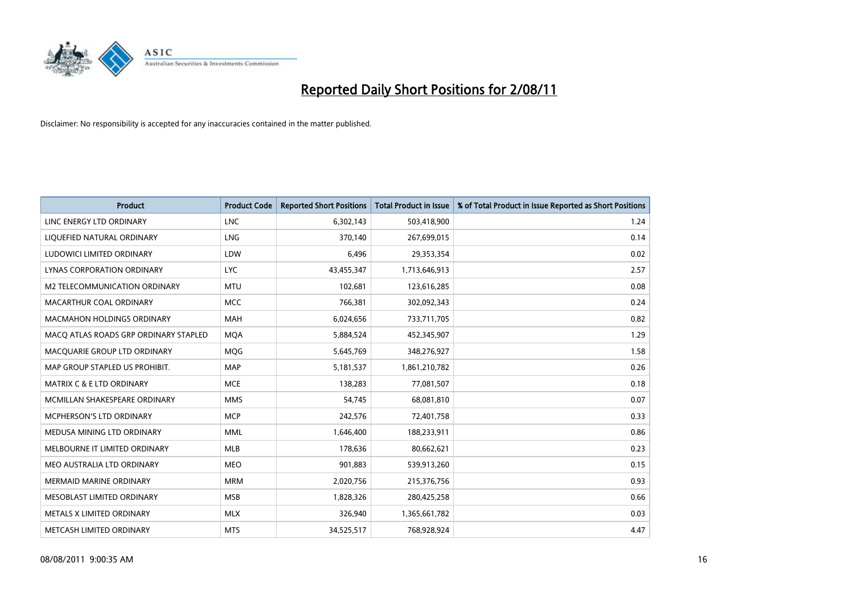

| <b>Product</b>                        | <b>Product Code</b> | <b>Reported Short Positions</b> | <b>Total Product in Issue</b> | % of Total Product in Issue Reported as Short Positions |
|---------------------------------------|---------------------|---------------------------------|-------------------------------|---------------------------------------------------------|
| LINC ENERGY LTD ORDINARY              | <b>LNC</b>          | 6,302,143                       | 503,418,900                   | 1.24                                                    |
| LIQUEFIED NATURAL ORDINARY            | LNG                 | 370,140                         | 267,699,015                   | 0.14                                                    |
| LUDOWICI LIMITED ORDINARY             | LDW                 | 6,496                           | 29,353,354                    | 0.02                                                    |
| LYNAS CORPORATION ORDINARY            | <b>LYC</b>          | 43,455,347                      | 1,713,646,913                 | 2.57                                                    |
| M2 TELECOMMUNICATION ORDINARY         | <b>MTU</b>          | 102,681                         | 123,616,285                   | 0.08                                                    |
| MACARTHUR COAL ORDINARY               | <b>MCC</b>          | 766,381                         | 302,092,343                   | 0.24                                                    |
| <b>MACMAHON HOLDINGS ORDINARY</b>     | <b>MAH</b>          | 6,024,656                       | 733,711,705                   | 0.82                                                    |
| MACQ ATLAS ROADS GRP ORDINARY STAPLED | <b>MQA</b>          | 5,884,524                       | 452,345,907                   | 1.29                                                    |
| MACQUARIE GROUP LTD ORDINARY          | <b>MOG</b>          | 5,645,769                       | 348,276,927                   | 1.58                                                    |
| MAP GROUP STAPLED US PROHIBIT.        | <b>MAP</b>          | 5,181,537                       | 1,861,210,782                 | 0.26                                                    |
| MATRIX C & E LTD ORDINARY             | <b>MCE</b>          | 138,283                         | 77,081,507                    | 0.18                                                    |
| MCMILLAN SHAKESPEARE ORDINARY         | <b>MMS</b>          | 54,745                          | 68,081,810                    | 0.07                                                    |
| MCPHERSON'S LTD ORDINARY              | <b>MCP</b>          | 242,576                         | 72,401,758                    | 0.33                                                    |
| MEDUSA MINING LTD ORDINARY            | <b>MML</b>          | 1,646,400                       | 188,233,911                   | 0.86                                                    |
| MELBOURNE IT LIMITED ORDINARY         | <b>MLB</b>          | 178,636                         | 80,662,621                    | 0.23                                                    |
| MEO AUSTRALIA LTD ORDINARY            | <b>MEO</b>          | 901,883                         | 539,913,260                   | 0.15                                                    |
| <b>MERMAID MARINE ORDINARY</b>        | <b>MRM</b>          | 2,020,756                       | 215,376,756                   | 0.93                                                    |
| MESOBLAST LIMITED ORDINARY            | <b>MSB</b>          | 1,828,326                       | 280,425,258                   | 0.66                                                    |
| METALS X LIMITED ORDINARY             | <b>MLX</b>          | 326,940                         | 1,365,661,782                 | 0.03                                                    |
| METCASH LIMITED ORDINARY              | <b>MTS</b>          | 34,525,517                      | 768,928,924                   | 4.47                                                    |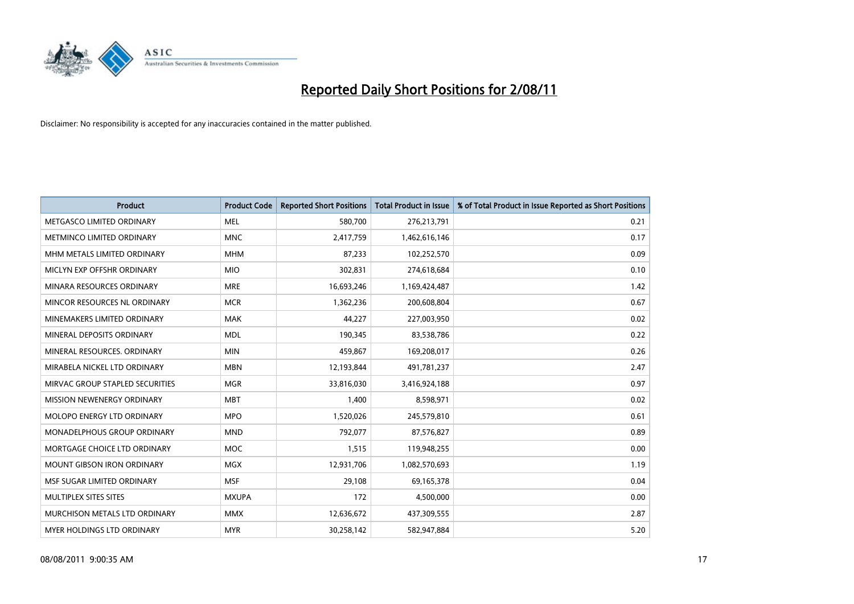

| <b>Product</b>                     | <b>Product Code</b> | <b>Reported Short Positions</b> | <b>Total Product in Issue</b> | % of Total Product in Issue Reported as Short Positions |
|------------------------------------|---------------------|---------------------------------|-------------------------------|---------------------------------------------------------|
| METGASCO LIMITED ORDINARY          | <b>MEL</b>          | 580,700                         | 276,213,791                   | 0.21                                                    |
| METMINCO LIMITED ORDINARY          | <b>MNC</b>          | 2,417,759                       | 1,462,616,146                 | 0.17                                                    |
| MHM METALS LIMITED ORDINARY        | <b>MHM</b>          | 87,233                          | 102,252,570                   | 0.09                                                    |
| MICLYN EXP OFFSHR ORDINARY         | <b>MIO</b>          | 302,831                         | 274,618,684                   | 0.10                                                    |
| MINARA RESOURCES ORDINARY          | <b>MRE</b>          | 16,693,246                      | 1,169,424,487                 | 1.42                                                    |
| MINCOR RESOURCES NL ORDINARY       | <b>MCR</b>          | 1,362,236                       | 200,608,804                   | 0.67                                                    |
| MINEMAKERS LIMITED ORDINARY        | <b>MAK</b>          | 44,227                          | 227,003,950                   | 0.02                                                    |
| MINERAL DEPOSITS ORDINARY          | <b>MDL</b>          | 190,345                         | 83,538,786                    | 0.22                                                    |
| MINERAL RESOURCES, ORDINARY        | <b>MIN</b>          | 459,867                         | 169,208,017                   | 0.26                                                    |
| MIRABELA NICKEL LTD ORDINARY       | <b>MBN</b>          | 12,193,844                      | 491,781,237                   | 2.47                                                    |
| MIRVAC GROUP STAPLED SECURITIES    | <b>MGR</b>          | 33,816,030                      | 3,416,924,188                 | 0.97                                                    |
| MISSION NEWENERGY ORDINARY         | <b>MBT</b>          | 1,400                           | 8,598,971                     | 0.02                                                    |
| MOLOPO ENERGY LTD ORDINARY         | <b>MPO</b>          | 1,520,026                       | 245,579,810                   | 0.61                                                    |
| <b>MONADELPHOUS GROUP ORDINARY</b> | <b>MND</b>          | 792,077                         | 87,576,827                    | 0.89                                                    |
| MORTGAGE CHOICE LTD ORDINARY       | <b>MOC</b>          | 1,515                           | 119,948,255                   | 0.00                                                    |
| <b>MOUNT GIBSON IRON ORDINARY</b>  | <b>MGX</b>          | 12,931,706                      | 1,082,570,693                 | 1.19                                                    |
| MSF SUGAR LIMITED ORDINARY         | <b>MSF</b>          | 29,108                          | 69,165,378                    | 0.04                                                    |
| MULTIPLEX SITES SITES              | <b>MXUPA</b>        | 172                             | 4,500,000                     | 0.00                                                    |
| MURCHISON METALS LTD ORDINARY      | <b>MMX</b>          | 12,636,672                      | 437,309,555                   | 2.87                                                    |
| <b>MYER HOLDINGS LTD ORDINARY</b>  | <b>MYR</b>          | 30,258,142                      | 582,947,884                   | 5.20                                                    |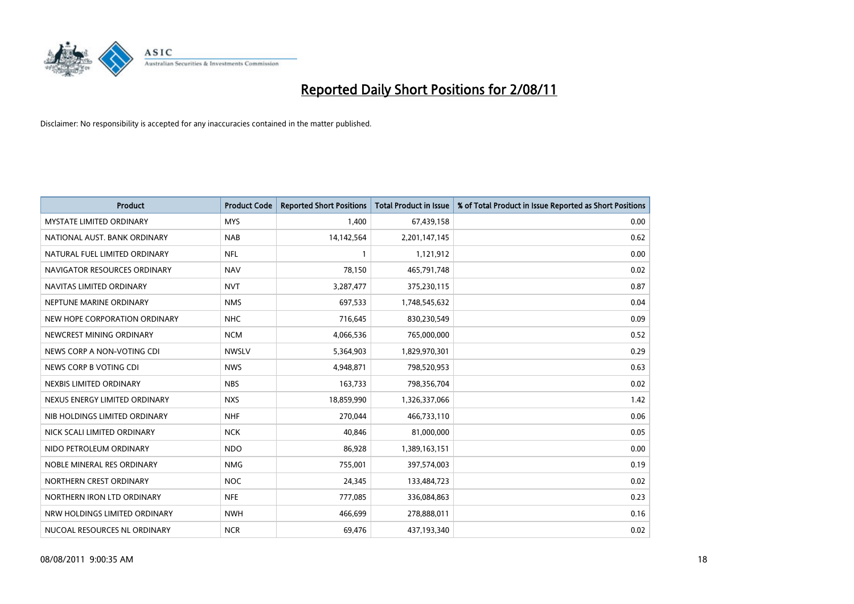

| <b>Product</b>                  | <b>Product Code</b> | <b>Reported Short Positions</b> | <b>Total Product in Issue</b> | % of Total Product in Issue Reported as Short Positions |
|---------------------------------|---------------------|---------------------------------|-------------------------------|---------------------------------------------------------|
| <b>MYSTATE LIMITED ORDINARY</b> | <b>MYS</b>          | 1,400                           | 67,439,158                    | 0.00                                                    |
| NATIONAL AUST. BANK ORDINARY    | <b>NAB</b>          | 14,142,564                      | 2,201,147,145                 | 0.62                                                    |
| NATURAL FUEL LIMITED ORDINARY   | <b>NFL</b>          |                                 | 1,121,912                     | 0.00                                                    |
| NAVIGATOR RESOURCES ORDINARY    | <b>NAV</b>          | 78,150                          | 465,791,748                   | 0.02                                                    |
| NAVITAS LIMITED ORDINARY        | <b>NVT</b>          | 3,287,477                       | 375,230,115                   | 0.87                                                    |
| NEPTUNE MARINE ORDINARY         | <b>NMS</b>          | 697,533                         | 1,748,545,632                 | 0.04                                                    |
| NEW HOPE CORPORATION ORDINARY   | <b>NHC</b>          | 716,645                         | 830,230,549                   | 0.09                                                    |
| NEWCREST MINING ORDINARY        | <b>NCM</b>          | 4,066,536                       | 765,000,000                   | 0.52                                                    |
| NEWS CORP A NON-VOTING CDI      | <b>NWSLV</b>        | 5,364,903                       | 1,829,970,301                 | 0.29                                                    |
| NEWS CORP B VOTING CDI          | <b>NWS</b>          | 4,948,871                       | 798,520,953                   | 0.63                                                    |
| NEXBIS LIMITED ORDINARY         | <b>NBS</b>          | 163,733                         | 798,356,704                   | 0.02                                                    |
| NEXUS ENERGY LIMITED ORDINARY   | <b>NXS</b>          | 18,859,990                      | 1,326,337,066                 | 1.42                                                    |
| NIB HOLDINGS LIMITED ORDINARY   | <b>NHF</b>          | 270,044                         | 466,733,110                   | 0.06                                                    |
| NICK SCALI LIMITED ORDINARY     | <b>NCK</b>          | 40,846                          | 81,000,000                    | 0.05                                                    |
| NIDO PETROLEUM ORDINARY         | <b>NDO</b>          | 86,928                          | 1,389,163,151                 | 0.00                                                    |
| NOBLE MINERAL RES ORDINARY      | <b>NMG</b>          | 755,001                         | 397,574,003                   | 0.19                                                    |
| NORTHERN CREST ORDINARY         | <b>NOC</b>          | 24,345                          | 133,484,723                   | 0.02                                                    |
| NORTHERN IRON LTD ORDINARY      | <b>NFE</b>          | 777,085                         | 336,084,863                   | 0.23                                                    |
| NRW HOLDINGS LIMITED ORDINARY   | <b>NWH</b>          | 466,699                         | 278,888,011                   | 0.16                                                    |
| NUCOAL RESOURCES NL ORDINARY    | <b>NCR</b>          | 69,476                          | 437,193,340                   | 0.02                                                    |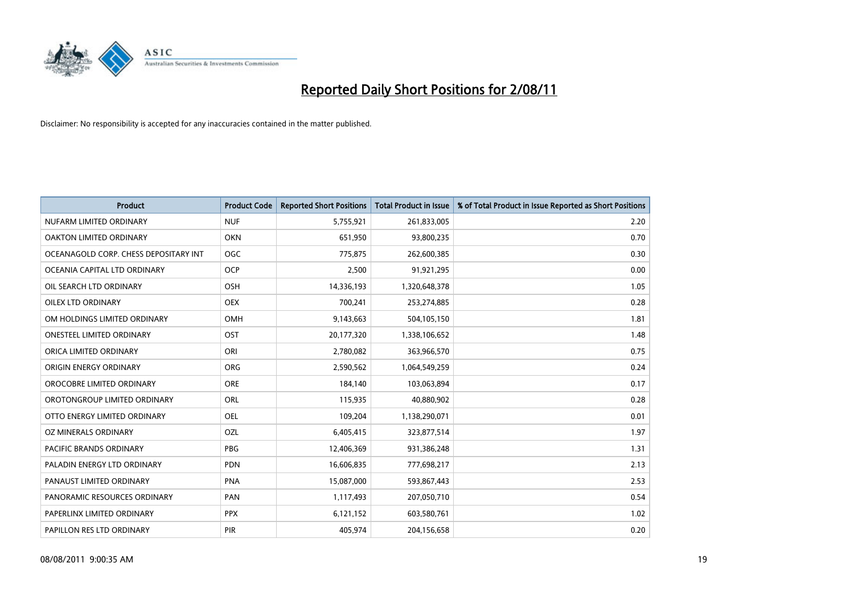

| <b>Product</b>                        | <b>Product Code</b> | <b>Reported Short Positions</b> | <b>Total Product in Issue</b> | % of Total Product in Issue Reported as Short Positions |
|---------------------------------------|---------------------|---------------------------------|-------------------------------|---------------------------------------------------------|
| NUFARM LIMITED ORDINARY               | <b>NUF</b>          | 5,755,921                       | 261,833,005                   | 2.20                                                    |
| <b>OAKTON LIMITED ORDINARY</b>        | <b>OKN</b>          | 651,950                         | 93,800,235                    | 0.70                                                    |
| OCEANAGOLD CORP. CHESS DEPOSITARY INT | <b>OGC</b>          | 775,875                         | 262,600,385                   | 0.30                                                    |
| OCEANIA CAPITAL LTD ORDINARY          | <b>OCP</b>          | 2,500                           | 91,921,295                    | 0.00                                                    |
| OIL SEARCH LTD ORDINARY               | OSH                 | 14,336,193                      | 1,320,648,378                 | 1.05                                                    |
| <b>OILEX LTD ORDINARY</b>             | <b>OEX</b>          | 700,241                         | 253,274,885                   | 0.28                                                    |
| OM HOLDINGS LIMITED ORDINARY          | <b>OMH</b>          | 9,143,663                       | 504,105,150                   | 1.81                                                    |
| <b>ONESTEEL LIMITED ORDINARY</b>      | OST                 | 20,177,320                      | 1,338,106,652                 | 1.48                                                    |
| ORICA LIMITED ORDINARY                | ORI                 | 2,780,082                       | 363,966,570                   | 0.75                                                    |
| ORIGIN ENERGY ORDINARY                | <b>ORG</b>          | 2,590,562                       | 1,064,549,259                 | 0.24                                                    |
| OROCOBRE LIMITED ORDINARY             | <b>ORE</b>          | 184,140                         | 103,063,894                   | 0.17                                                    |
| OROTONGROUP LIMITED ORDINARY          | <b>ORL</b>          | 115,935                         | 40,880,902                    | 0.28                                                    |
| OTTO ENERGY LIMITED ORDINARY          | <b>OEL</b>          | 109,204                         | 1,138,290,071                 | 0.01                                                    |
| OZ MINERALS ORDINARY                  | OZL                 | 6,405,415                       | 323,877,514                   | 1.97                                                    |
| <b>PACIFIC BRANDS ORDINARY</b>        | <b>PBG</b>          | 12,406,369                      | 931,386,248                   | 1.31                                                    |
| PALADIN ENERGY LTD ORDINARY           | PDN                 | 16,606,835                      | 777,698,217                   | 2.13                                                    |
| PANAUST LIMITED ORDINARY              | <b>PNA</b>          | 15,087,000                      | 593,867,443                   | 2.53                                                    |
| PANORAMIC RESOURCES ORDINARY          | PAN                 | 1,117,493                       | 207,050,710                   | 0.54                                                    |
| PAPERLINX LIMITED ORDINARY            | <b>PPX</b>          | 6,121,152                       | 603,580,761                   | 1.02                                                    |
| PAPILLON RES LTD ORDINARY             | PIR                 | 405.974                         | 204,156,658                   | 0.20                                                    |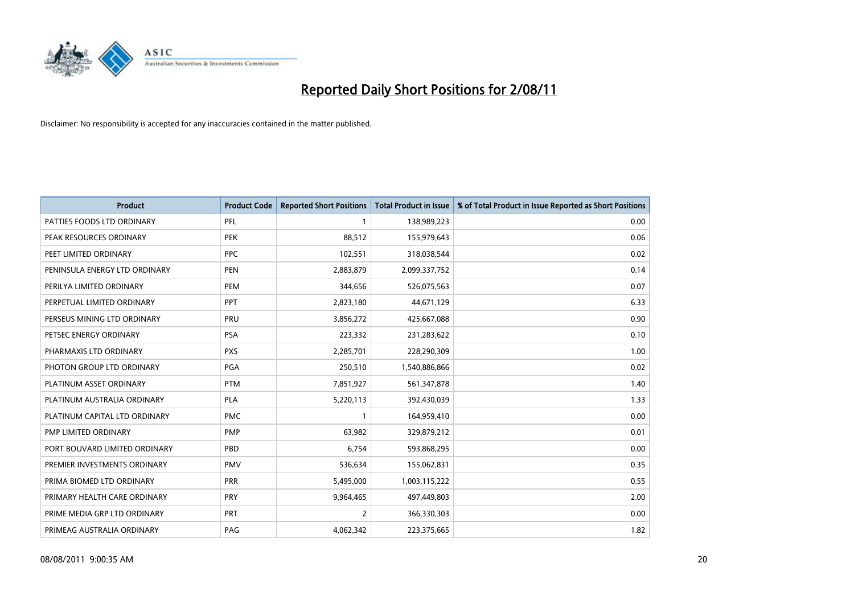

| <b>Product</b>                | <b>Product Code</b> | <b>Reported Short Positions</b> | <b>Total Product in Issue</b> | % of Total Product in Issue Reported as Short Positions |
|-------------------------------|---------------------|---------------------------------|-------------------------------|---------------------------------------------------------|
| PATTIES FOODS LTD ORDINARY    | PFL                 |                                 | 138,989,223                   | 0.00                                                    |
| PEAK RESOURCES ORDINARY       | <b>PEK</b>          | 88,512                          | 155,979,643                   | 0.06                                                    |
| PEET LIMITED ORDINARY         | <b>PPC</b>          | 102,551                         | 318,038,544                   | 0.02                                                    |
| PENINSULA ENERGY LTD ORDINARY | <b>PEN</b>          | 2,883,879                       | 2,099,337,752                 | 0.14                                                    |
| PERILYA LIMITED ORDINARY      | PEM                 | 344,656                         | 526,075,563                   | 0.07                                                    |
| PERPETUAL LIMITED ORDINARY    | PPT                 | 2,823,180                       | 44,671,129                    | 6.33                                                    |
| PERSEUS MINING LTD ORDINARY   | PRU                 | 3,856,272                       | 425,667,088                   | 0.90                                                    |
| PETSEC ENERGY ORDINARY        | <b>PSA</b>          | 223,332                         | 231,283,622                   | 0.10                                                    |
| PHARMAXIS LTD ORDINARY        | <b>PXS</b>          | 2,285,701                       | 228,290,309                   | 1.00                                                    |
| PHOTON GROUP LTD ORDINARY     | PGA                 | 250,510                         | 1,540,886,866                 | 0.02                                                    |
| PLATINUM ASSET ORDINARY       | <b>PTM</b>          | 7,851,927                       | 561,347,878                   | 1.40                                                    |
| PLATINUM AUSTRALIA ORDINARY   | <b>PLA</b>          | 5,220,113                       | 392,430,039                   | 1.33                                                    |
| PLATINUM CAPITAL LTD ORDINARY | <b>PMC</b>          |                                 | 164,959,410                   | 0.00                                                    |
| PMP LIMITED ORDINARY          | <b>PMP</b>          | 63,982                          | 329,879,212                   | 0.01                                                    |
| PORT BOUVARD LIMITED ORDINARY | PBD                 | 6,754                           | 593,868,295                   | 0.00                                                    |
| PREMIER INVESTMENTS ORDINARY  | <b>PMV</b>          | 536,634                         | 155,062,831                   | 0.35                                                    |
| PRIMA BIOMED LTD ORDINARY     | <b>PRR</b>          | 5,495,000                       | 1,003,115,222                 | 0.55                                                    |
| PRIMARY HEALTH CARE ORDINARY  | PRY                 | 9,964,465                       | 497,449,803                   | 2.00                                                    |
| PRIME MEDIA GRP LTD ORDINARY  | <b>PRT</b>          | $\overline{2}$                  | 366,330,303                   | 0.00                                                    |
| PRIMEAG AUSTRALIA ORDINARY    | PAG                 | 4,062,342                       | 223,375,665                   | 1.82                                                    |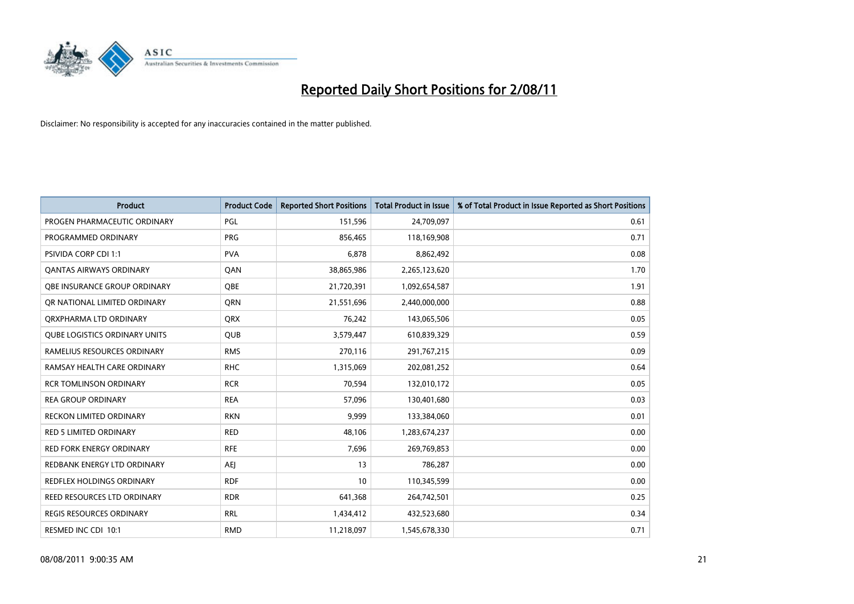

| <b>Product</b>                       | <b>Product Code</b> | <b>Reported Short Positions</b> | <b>Total Product in Issue</b> | % of Total Product in Issue Reported as Short Positions |
|--------------------------------------|---------------------|---------------------------------|-------------------------------|---------------------------------------------------------|
| PROGEN PHARMACEUTIC ORDINARY         | PGL                 | 151,596                         | 24,709,097                    | 0.61                                                    |
| PROGRAMMED ORDINARY                  | <b>PRG</b>          | 856,465                         | 118,169,908                   | 0.71                                                    |
| <b>PSIVIDA CORP CDI 1:1</b>          | <b>PVA</b>          | 6,878                           | 8,862,492                     | 0.08                                                    |
| <b>QANTAS AIRWAYS ORDINARY</b>       | QAN                 | 38,865,986                      | 2,265,123,620                 | 1.70                                                    |
| OBE INSURANCE GROUP ORDINARY         | <b>OBE</b>          | 21,720,391                      | 1,092,654,587                 | 1.91                                                    |
| OR NATIONAL LIMITED ORDINARY         | <b>ORN</b>          | 21,551,696                      | 2,440,000,000                 | 0.88                                                    |
| ORXPHARMA LTD ORDINARY               | <b>ORX</b>          | 76,242                          | 143,065,506                   | 0.05                                                    |
| <b>QUBE LOGISTICS ORDINARY UNITS</b> | <b>QUB</b>          | 3,579,447                       | 610,839,329                   | 0.59                                                    |
| RAMELIUS RESOURCES ORDINARY          | <b>RMS</b>          | 270,116                         | 291,767,215                   | 0.09                                                    |
| RAMSAY HEALTH CARE ORDINARY          | <b>RHC</b>          | 1,315,069                       | 202,081,252                   | 0.64                                                    |
| <b>RCR TOMLINSON ORDINARY</b>        | <b>RCR</b>          | 70,594                          | 132,010,172                   | 0.05                                                    |
| <b>REA GROUP ORDINARY</b>            | <b>REA</b>          | 57,096                          | 130,401,680                   | 0.03                                                    |
| RECKON LIMITED ORDINARY              | <b>RKN</b>          | 9,999                           | 133,384,060                   | 0.01                                                    |
| <b>RED 5 LIMITED ORDINARY</b>        | <b>RED</b>          | 48,106                          | 1,283,674,237                 | 0.00                                                    |
| <b>RED FORK ENERGY ORDINARY</b>      | <b>RFE</b>          | 7,696                           | 269,769,853                   | 0.00                                                    |
| REDBANK ENERGY LTD ORDINARY          | <b>AEI</b>          | 13                              | 786,287                       | 0.00                                                    |
| REDFLEX HOLDINGS ORDINARY            | <b>RDF</b>          | 10                              | 110,345,599                   | 0.00                                                    |
| REED RESOURCES LTD ORDINARY          | <b>RDR</b>          | 641,368                         | 264,742,501                   | 0.25                                                    |
| <b>REGIS RESOURCES ORDINARY</b>      | <b>RRL</b>          | 1,434,412                       | 432,523,680                   | 0.34                                                    |
| RESMED INC CDI 10:1                  | <b>RMD</b>          | 11,218,097                      | 1,545,678,330                 | 0.71                                                    |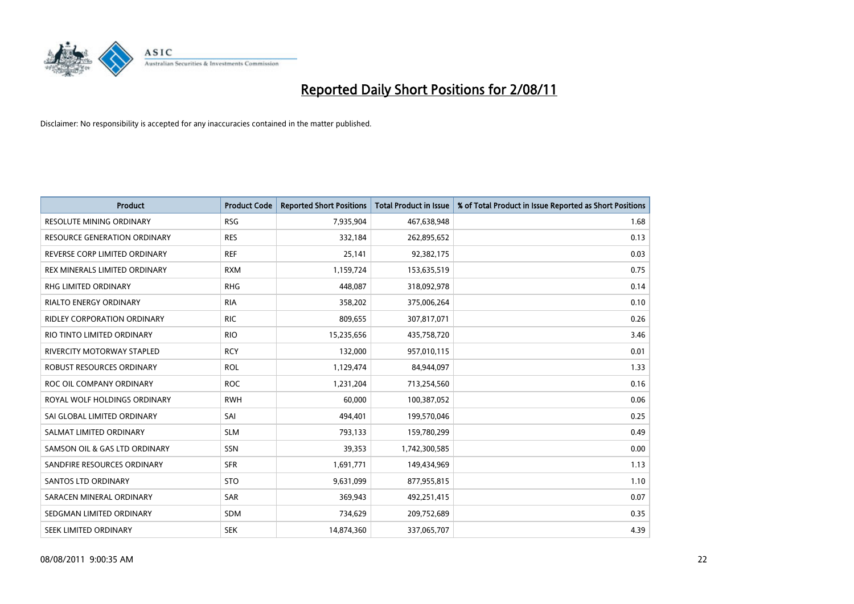

| <b>Product</b>                      | <b>Product Code</b> | <b>Reported Short Positions</b> | <b>Total Product in Issue</b> | % of Total Product in Issue Reported as Short Positions |
|-------------------------------------|---------------------|---------------------------------|-------------------------------|---------------------------------------------------------|
| <b>RESOLUTE MINING ORDINARY</b>     | <b>RSG</b>          | 7,935,904                       | 467,638,948                   | 1.68                                                    |
| <b>RESOURCE GENERATION ORDINARY</b> | <b>RES</b>          | 332,184                         | 262,895,652                   | 0.13                                                    |
| REVERSE CORP LIMITED ORDINARY       | <b>REF</b>          | 25,141                          | 92,382,175                    | 0.03                                                    |
| REX MINERALS LIMITED ORDINARY       | <b>RXM</b>          | 1,159,724                       | 153,635,519                   | 0.75                                                    |
| <b>RHG LIMITED ORDINARY</b>         | <b>RHG</b>          | 448,087                         | 318,092,978                   | 0.14                                                    |
| <b>RIALTO ENERGY ORDINARY</b>       | <b>RIA</b>          | 358,202                         | 375,006,264                   | 0.10                                                    |
| <b>RIDLEY CORPORATION ORDINARY</b>  | <b>RIC</b>          | 809,655                         | 307,817,071                   | 0.26                                                    |
| RIO TINTO LIMITED ORDINARY          | <b>RIO</b>          | 15,235,656                      | 435,758,720                   | 3.46                                                    |
| <b>RIVERCITY MOTORWAY STAPLED</b>   | <b>RCY</b>          | 132,000                         | 957,010,115                   | 0.01                                                    |
| ROBUST RESOURCES ORDINARY           | <b>ROL</b>          | 1,129,474                       | 84,944,097                    | 1.33                                                    |
| ROC OIL COMPANY ORDINARY            | <b>ROC</b>          | 1,231,204                       | 713,254,560                   | 0.16                                                    |
| ROYAL WOLF HOLDINGS ORDINARY        | <b>RWH</b>          | 60,000                          | 100,387,052                   | 0.06                                                    |
| SAI GLOBAL LIMITED ORDINARY         | SAI                 | 494,401                         | 199,570,046                   | 0.25                                                    |
| SALMAT LIMITED ORDINARY             | <b>SLM</b>          | 793,133                         | 159,780,299                   | 0.49                                                    |
| SAMSON OIL & GAS LTD ORDINARY       | SSN                 | 39,353                          | 1,742,300,585                 | 0.00                                                    |
| SANDFIRE RESOURCES ORDINARY         | <b>SFR</b>          | 1,691,771                       | 149,434,969                   | 1.13                                                    |
| SANTOS LTD ORDINARY                 | <b>STO</b>          | 9,631,099                       | 877,955,815                   | 1.10                                                    |
| SARACEN MINERAL ORDINARY            | <b>SAR</b>          | 369,943                         | 492,251,415                   | 0.07                                                    |
| SEDGMAN LIMITED ORDINARY            | <b>SDM</b>          | 734,629                         | 209,752,689                   | 0.35                                                    |
| SEEK LIMITED ORDINARY               | <b>SEK</b>          | 14,874,360                      | 337,065,707                   | 4.39                                                    |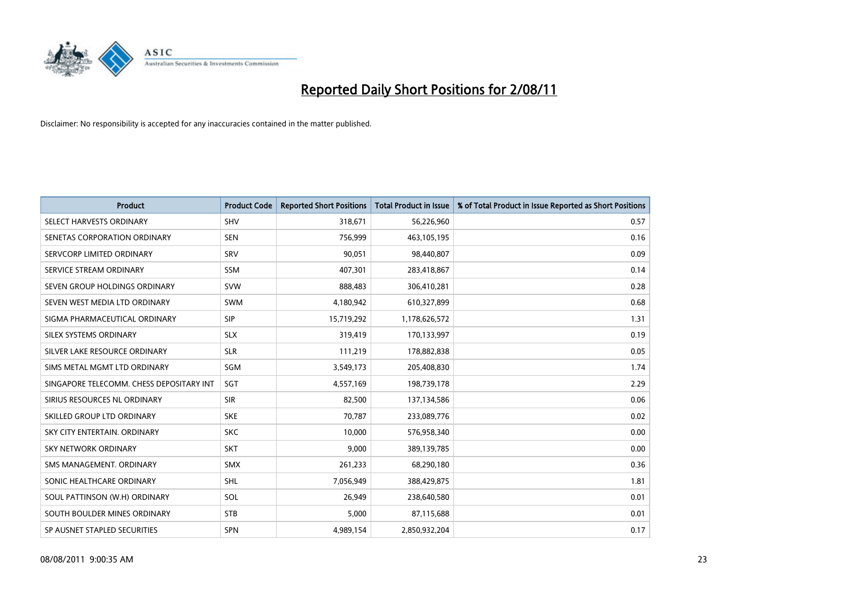

| <b>Product</b>                           | <b>Product Code</b> | <b>Reported Short Positions</b> | <b>Total Product in Issue</b> | % of Total Product in Issue Reported as Short Positions |
|------------------------------------------|---------------------|---------------------------------|-------------------------------|---------------------------------------------------------|
| SELECT HARVESTS ORDINARY                 | <b>SHV</b>          | 318,671                         | 56,226,960                    | 0.57                                                    |
| SENETAS CORPORATION ORDINARY             | <b>SEN</b>          | 756,999                         | 463,105,195                   | 0.16                                                    |
| SERVCORP LIMITED ORDINARY                | SRV                 | 90.051                          | 98,440,807                    | 0.09                                                    |
| SERVICE STREAM ORDINARY                  | <b>SSM</b>          | 407,301                         | 283,418,867                   | 0.14                                                    |
| SEVEN GROUP HOLDINGS ORDINARY            | <b>SVW</b>          | 888,483                         | 306,410,281                   | 0.28                                                    |
| SEVEN WEST MEDIA LTD ORDINARY            | <b>SWM</b>          | 4,180,942                       | 610,327,899                   | 0.68                                                    |
| SIGMA PHARMACEUTICAL ORDINARY            | <b>SIP</b>          | 15,719,292                      | 1,178,626,572                 | 1.31                                                    |
| SILEX SYSTEMS ORDINARY                   | <b>SLX</b>          | 319,419                         | 170,133,997                   | 0.19                                                    |
| SILVER LAKE RESOURCE ORDINARY            | <b>SLR</b>          | 111,219                         | 178,882,838                   | 0.05                                                    |
| SIMS METAL MGMT LTD ORDINARY             | SGM                 | 3,549,173                       | 205,408,830                   | 1.74                                                    |
| SINGAPORE TELECOMM. CHESS DEPOSITARY INT | SGT                 | 4,557,169                       | 198,739,178                   | 2.29                                                    |
| SIRIUS RESOURCES NL ORDINARY             | <b>SIR</b>          | 82,500                          | 137,134,586                   | 0.06                                                    |
| SKILLED GROUP LTD ORDINARY               | <b>SKE</b>          | 70,787                          | 233,089,776                   | 0.02                                                    |
| SKY CITY ENTERTAIN, ORDINARY             | <b>SKC</b>          | 10,000                          | 576,958,340                   | 0.00                                                    |
| <b>SKY NETWORK ORDINARY</b>              | <b>SKT</b>          | 9,000                           | 389,139,785                   | 0.00                                                    |
| SMS MANAGEMENT. ORDINARY                 | <b>SMX</b>          | 261,233                         | 68,290,180                    | 0.36                                                    |
| SONIC HEALTHCARE ORDINARY                | <b>SHL</b>          | 7,056,949                       | 388,429,875                   | 1.81                                                    |
| SOUL PATTINSON (W.H) ORDINARY            | SOL                 | 26,949                          | 238,640,580                   | 0.01                                                    |
| SOUTH BOULDER MINES ORDINARY             | <b>STB</b>          | 5,000                           | 87,115,688                    | 0.01                                                    |
| SP AUSNET STAPLED SECURITIES             | <b>SPN</b>          | 4,989,154                       | 2,850,932,204                 | 0.17                                                    |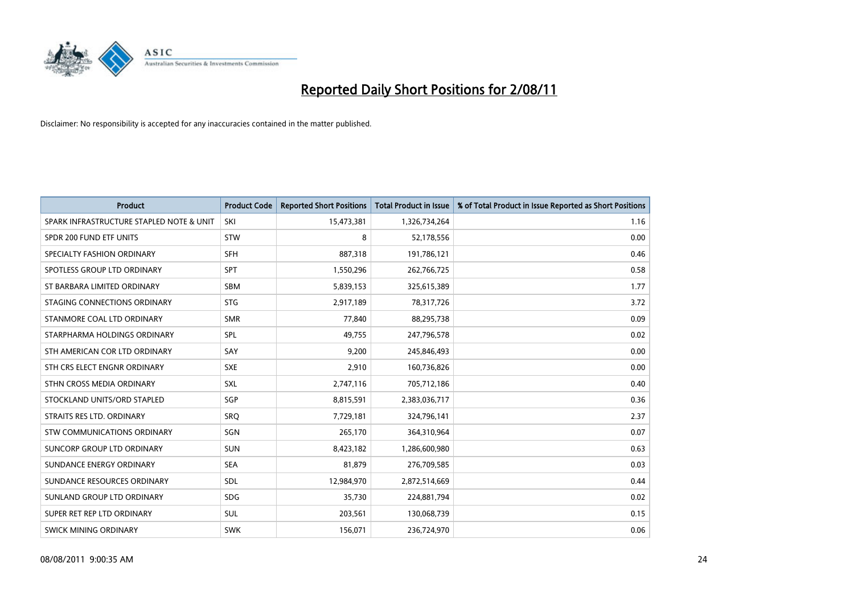

| <b>Product</b>                           | <b>Product Code</b> | <b>Reported Short Positions</b> | <b>Total Product in Issue</b> | % of Total Product in Issue Reported as Short Positions |
|------------------------------------------|---------------------|---------------------------------|-------------------------------|---------------------------------------------------------|
| SPARK INFRASTRUCTURE STAPLED NOTE & UNIT | SKI                 | 15,473,381                      | 1,326,734,264                 | 1.16                                                    |
| SPDR 200 FUND ETF UNITS                  | <b>STW</b>          | 8                               | 52,178,556                    | 0.00                                                    |
| SPECIALTY FASHION ORDINARY               | <b>SFH</b>          | 887,318                         | 191,786,121                   | 0.46                                                    |
| SPOTLESS GROUP LTD ORDINARY              | <b>SPT</b>          | 1,550,296                       | 262,766,725                   | 0.58                                                    |
| ST BARBARA LIMITED ORDINARY              | <b>SBM</b>          | 5,839,153                       | 325,615,389                   | 1.77                                                    |
| STAGING CONNECTIONS ORDINARY             | <b>STG</b>          | 2,917,189                       | 78,317,726                    | 3.72                                                    |
| STANMORE COAL LTD ORDINARY               | <b>SMR</b>          | 77,840                          | 88,295,738                    | 0.09                                                    |
| STARPHARMA HOLDINGS ORDINARY             | SPL                 | 49,755                          | 247,796,578                   | 0.02                                                    |
| STH AMERICAN COR LTD ORDINARY            | SAY                 | 9,200                           | 245,846,493                   | 0.00                                                    |
| STH CRS ELECT ENGNR ORDINARY             | <b>SXE</b>          | 2,910                           | 160,736,826                   | 0.00                                                    |
| STHN CROSS MEDIA ORDINARY                | <b>SXL</b>          | 2,747,116                       | 705,712,186                   | 0.40                                                    |
| STOCKLAND UNITS/ORD STAPLED              | <b>SGP</b>          | 8,815,591                       | 2,383,036,717                 | 0.36                                                    |
| STRAITS RES LTD. ORDINARY                | <b>SRO</b>          | 7,729,181                       | 324,796,141                   | 2.37                                                    |
| <b>STW COMMUNICATIONS ORDINARY</b>       | SGN                 | 265,170                         | 364,310,964                   | 0.07                                                    |
| SUNCORP GROUP LTD ORDINARY               | <b>SUN</b>          | 8,423,182                       | 1,286,600,980                 | 0.63                                                    |
| SUNDANCE ENERGY ORDINARY                 | <b>SEA</b>          | 81,879                          | 276,709,585                   | 0.03                                                    |
| SUNDANCE RESOURCES ORDINARY              | <b>SDL</b>          | 12,984,970                      | 2,872,514,669                 | 0.44                                                    |
| SUNLAND GROUP LTD ORDINARY               | <b>SDG</b>          | 35,730                          | 224,881,794                   | 0.02                                                    |
| SUPER RET REP LTD ORDINARY               | <b>SUL</b>          | 203,561                         | 130,068,739                   | 0.15                                                    |
| <b>SWICK MINING ORDINARY</b>             | <b>SWK</b>          | 156,071                         | 236,724,970                   | 0.06                                                    |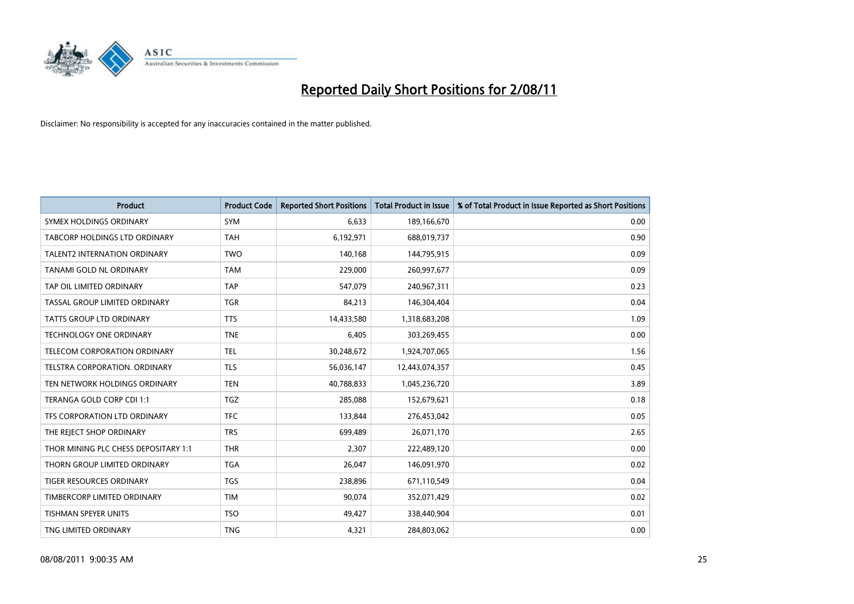

| <b>Product</b>                       | <b>Product Code</b> | <b>Reported Short Positions</b> | <b>Total Product in Issue</b> | % of Total Product in Issue Reported as Short Positions |
|--------------------------------------|---------------------|---------------------------------|-------------------------------|---------------------------------------------------------|
| SYMEX HOLDINGS ORDINARY              | SYM                 | 6,633                           | 189,166,670                   | 0.00                                                    |
| TABCORP HOLDINGS LTD ORDINARY        | <b>TAH</b>          | 6,192,971                       | 688,019,737                   | 0.90                                                    |
| TALENT2 INTERNATION ORDINARY         | <b>TWO</b>          | 140,168                         | 144,795,915                   | 0.09                                                    |
| TANAMI GOLD NL ORDINARY              | <b>TAM</b>          | 229,000                         | 260,997,677                   | 0.09                                                    |
| TAP OIL LIMITED ORDINARY             | <b>TAP</b>          | 547,079                         | 240,967,311                   | 0.23                                                    |
| TASSAL GROUP LIMITED ORDINARY        | <b>TGR</b>          | 84,213                          | 146,304,404                   | 0.04                                                    |
| <b>TATTS GROUP LTD ORDINARY</b>      | <b>TTS</b>          | 14,433,580                      | 1,318,683,208                 | 1.09                                                    |
| TECHNOLOGY ONE ORDINARY              | <b>TNE</b>          | 6,405                           | 303,269,455                   | 0.00                                                    |
| TELECOM CORPORATION ORDINARY         | <b>TEL</b>          | 30,248,672                      | 1,924,707,065                 | 1.56                                                    |
| TELSTRA CORPORATION, ORDINARY        | <b>TLS</b>          | 56,036,147                      | 12,443,074,357                | 0.45                                                    |
| TEN NETWORK HOLDINGS ORDINARY        | <b>TEN</b>          | 40,788,833                      | 1,045,236,720                 | 3.89                                                    |
| TERANGA GOLD CORP CDI 1:1            | <b>TGZ</b>          | 285,088                         | 152,679,621                   | 0.18                                                    |
| TFS CORPORATION LTD ORDINARY         | <b>TFC</b>          | 133,844                         | 276,453,042                   | 0.05                                                    |
| THE REJECT SHOP ORDINARY             | <b>TRS</b>          | 699,489                         | 26,071,170                    | 2.65                                                    |
| THOR MINING PLC CHESS DEPOSITARY 1:1 | <b>THR</b>          | 2,307                           | 222,489,120                   | 0.00                                                    |
| THORN GROUP LIMITED ORDINARY         | <b>TGA</b>          | 26,047                          | 146,091,970                   | 0.02                                                    |
| TIGER RESOURCES ORDINARY             | <b>TGS</b>          | 238,896                         | 671,110,549                   | 0.04                                                    |
| TIMBERCORP LIMITED ORDINARY          | <b>TIM</b>          | 90,074                          | 352,071,429                   | 0.02                                                    |
| TISHMAN SPEYER UNITS                 | <b>TSO</b>          | 49,427                          | 338,440,904                   | 0.01                                                    |
| TNG LIMITED ORDINARY                 | <b>TNG</b>          | 4,321                           | 284,803,062                   | 0.00                                                    |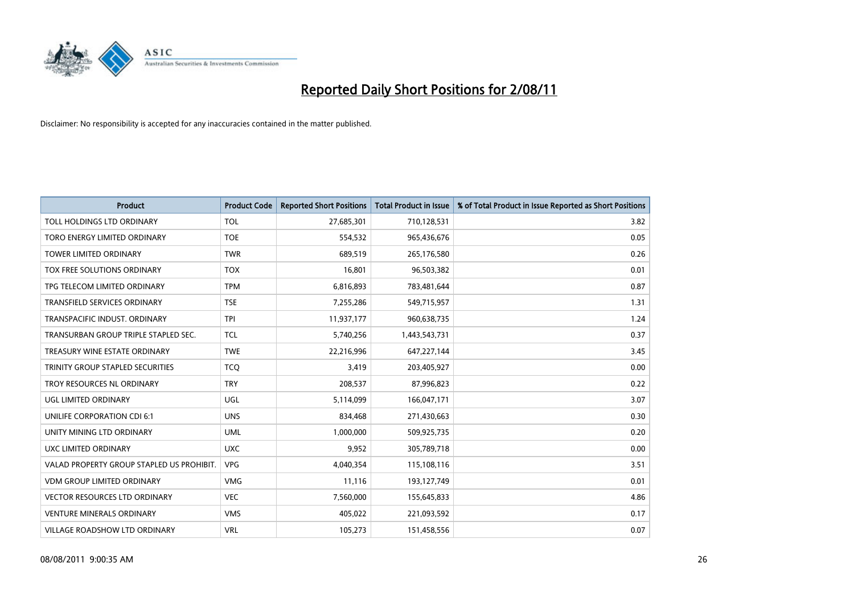

| <b>Product</b>                            | <b>Product Code</b> | <b>Reported Short Positions</b> | <b>Total Product in Issue</b> | % of Total Product in Issue Reported as Short Positions |
|-------------------------------------------|---------------------|---------------------------------|-------------------------------|---------------------------------------------------------|
| TOLL HOLDINGS LTD ORDINARY                | <b>TOL</b>          | 27,685,301                      | 710,128,531                   | 3.82                                                    |
| TORO ENERGY LIMITED ORDINARY              | <b>TOE</b>          | 554,532                         | 965,436,676                   | 0.05                                                    |
| <b>TOWER LIMITED ORDINARY</b>             | <b>TWR</b>          | 689,519                         | 265,176,580                   | 0.26                                                    |
| TOX FREE SOLUTIONS ORDINARY               | <b>TOX</b>          | 16,801                          | 96,503,382                    | 0.01                                                    |
| TPG TELECOM LIMITED ORDINARY              | <b>TPM</b>          | 6,816,893                       | 783,481,644                   | 0.87                                                    |
| TRANSFIELD SERVICES ORDINARY              | <b>TSE</b>          | 7,255,286                       | 549,715,957                   | 1.31                                                    |
| TRANSPACIFIC INDUST, ORDINARY             | <b>TPI</b>          | 11,937,177                      | 960,638,735                   | 1.24                                                    |
| TRANSURBAN GROUP TRIPLE STAPLED SEC.      | <b>TCL</b>          | 5,740,256                       | 1,443,543,731                 | 0.37                                                    |
| TREASURY WINE ESTATE ORDINARY             | <b>TWE</b>          | 22,216,996                      | 647,227,144                   | 3.45                                                    |
| TRINITY GROUP STAPLED SECURITIES          | <b>TCO</b>          | 3,419                           | 203,405,927                   | 0.00                                                    |
| TROY RESOURCES NL ORDINARY                | <b>TRY</b>          | 208,537                         | 87,996,823                    | 0.22                                                    |
| <b>UGL LIMITED ORDINARY</b>               | UGL                 | 5,114,099                       | 166,047,171                   | 3.07                                                    |
| UNILIFE CORPORATION CDI 6:1               | <b>UNS</b>          | 834,468                         | 271,430,663                   | 0.30                                                    |
| UNITY MINING LTD ORDINARY                 | <b>UML</b>          | 1,000,000                       | 509,925,735                   | 0.20                                                    |
| UXC LIMITED ORDINARY                      | <b>UXC</b>          | 9,952                           | 305,789,718                   | 0.00                                                    |
| VALAD PROPERTY GROUP STAPLED US PROHIBIT. | <b>VPG</b>          | 4,040,354                       | 115,108,116                   | 3.51                                                    |
| <b>VDM GROUP LIMITED ORDINARY</b>         | <b>VMG</b>          | 11,116                          | 193,127,749                   | 0.01                                                    |
| <b>VECTOR RESOURCES LTD ORDINARY</b>      | <b>VEC</b>          | 7,560,000                       | 155,645,833                   | 4.86                                                    |
| <b>VENTURE MINERALS ORDINARY</b>          | <b>VMS</b>          | 405,022                         | 221,093,592                   | 0.17                                                    |
| <b>VILLAGE ROADSHOW LTD ORDINARY</b>      | <b>VRL</b>          | 105,273                         | 151,458,556                   | 0.07                                                    |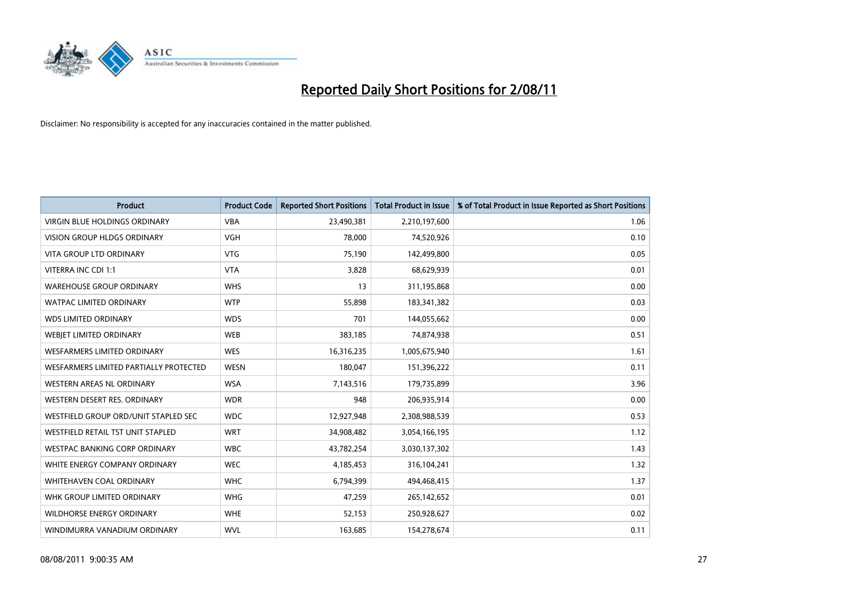

| <b>Product</b>                         | <b>Product Code</b> | <b>Reported Short Positions</b> | Total Product in Issue | % of Total Product in Issue Reported as Short Positions |
|----------------------------------------|---------------------|---------------------------------|------------------------|---------------------------------------------------------|
| <b>VIRGIN BLUE HOLDINGS ORDINARY</b>   | <b>VBA</b>          | 23,490,381                      | 2,210,197,600          | 1.06                                                    |
| <b>VISION GROUP HLDGS ORDINARY</b>     | <b>VGH</b>          | 78.000                          | 74,520,926             | 0.10                                                    |
| <b>VITA GROUP LTD ORDINARY</b>         | <b>VTG</b>          | 75,190                          | 142,499,800            | 0.05                                                    |
| VITERRA INC CDI 1:1                    | <b>VTA</b>          | 3,828                           | 68,629,939             | 0.01                                                    |
| <b>WAREHOUSE GROUP ORDINARY</b>        | <b>WHS</b>          | 13                              | 311,195,868            | 0.00                                                    |
| <b>WATPAC LIMITED ORDINARY</b>         | <b>WTP</b>          | 55,898                          | 183,341,382            | 0.03                                                    |
| <b>WDS LIMITED ORDINARY</b>            | <b>WDS</b>          | 701                             | 144,055,662            | 0.00                                                    |
| WEBIET LIMITED ORDINARY                | <b>WEB</b>          | 383,185                         | 74,874,938             | 0.51                                                    |
| <b>WESFARMERS LIMITED ORDINARY</b>     | <b>WES</b>          | 16,316,235                      | 1,005,675,940          | 1.61                                                    |
| WESFARMERS LIMITED PARTIALLY PROTECTED | <b>WESN</b>         | 180,047                         | 151,396,222            | 0.11                                                    |
| <b>WESTERN AREAS NL ORDINARY</b>       | <b>WSA</b>          | 7,143,516                       | 179,735,899            | 3.96                                                    |
| WESTERN DESERT RES. ORDINARY           | <b>WDR</b>          | 948                             | 206,935,914            | 0.00                                                    |
| WESTFIELD GROUP ORD/UNIT STAPLED SEC   | <b>WDC</b>          | 12,927,948                      | 2,308,988,539          | 0.53                                                    |
| WESTFIELD RETAIL TST UNIT STAPLED      | <b>WRT</b>          | 34,908,482                      | 3,054,166,195          | 1.12                                                    |
| <b>WESTPAC BANKING CORP ORDINARY</b>   | <b>WBC</b>          | 43,782,254                      | 3,030,137,302          | 1.43                                                    |
| WHITE ENERGY COMPANY ORDINARY          | <b>WEC</b>          | 4,185,453                       | 316,104,241            | 1.32                                                    |
| <b>WHITEHAVEN COAL ORDINARY</b>        | <b>WHC</b>          | 6,794,399                       | 494,468,415            | 1.37                                                    |
| WHK GROUP LIMITED ORDINARY             | <b>WHG</b>          | 47,259                          | 265,142,652            | 0.01                                                    |
| <b>WILDHORSE ENERGY ORDINARY</b>       | <b>WHE</b>          | 52,153                          | 250,928,627            | 0.02                                                    |
| WINDIMURRA VANADIUM ORDINARY           | <b>WVL</b>          | 163,685                         | 154,278,674            | 0.11                                                    |